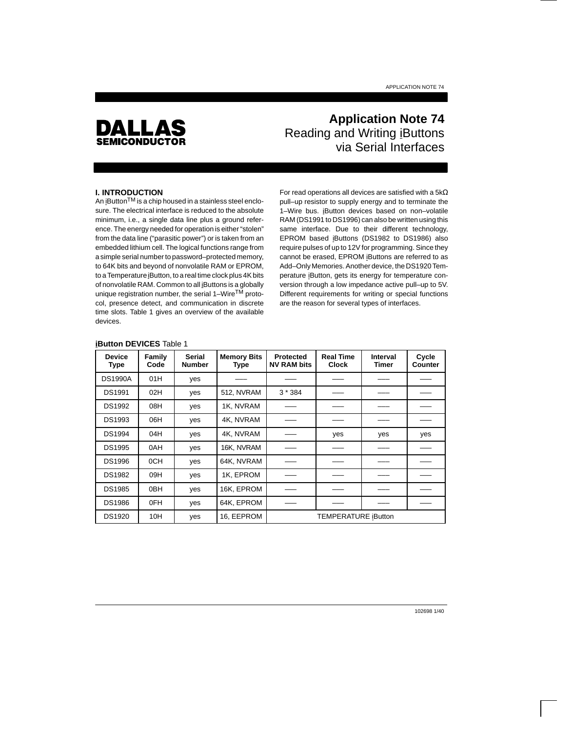

# **Application Note 74** Reading and Writing iButtons via Serial Interfaces

## **I. INTRODUCTION**

An iButton<sup>TM</sup> is a chip housed in a stainless steel enclosure. The electrical interface is reduced to the absolute minimum, i.e., a single data line plus a ground reference. The energy needed for operation is either "stolen" from the data line ("parasitic power") or is taken from an embedded lithium cell. The logical functions range from a simple serial number to password–protected memory, to 64K bits and beyond of nonvolatile RAM or EPROM, to a Temperature iButton, to a real time clock plus 4K bits of nonvolatile RAM. Common to all iButtons is a globally unique registration number, the serial 1–Wire<sup>TM</sup> protocol, presence detect, and communication in discrete time slots. Table 1 gives an overview of the available devices.

For read operations all devices are satisfied with a 5kΩ pull–up resistor to supply energy and to terminate the 1–Wire bus. iButton devices based on non–volatile RAM (DS1991 to DS1996) can also be written using this same interface. Due to their different technology, EPROM based iButtons (DS1982 to DS1986) also require pulses of up to 12V for programming. Since they cannot be erased, EPROM iButtons are referred to as Add–Only Memories. Another device, the DS1920 Temperature iButton, gets its energy for temperature conversion through a low impedance active pull–up to 5V. Different requirements for writing or special functions are the reason for several types of interfaces.

#### **iButton DEVICES** Table 1

| <b>Device</b><br><b>Type</b> | Family<br>Code  | <b>Serial</b><br><b>Number</b> | <b>Memory Bits</b><br><b>Type</b> | <b>Protected</b><br><b>NV RAM bits</b> | <b>Real Time</b><br><b>Clock</b> | Interval<br>Timer | Cycle<br><b>Counter</b> |
|------------------------------|-----------------|--------------------------------|-----------------------------------|----------------------------------------|----------------------------------|-------------------|-------------------------|
| <b>DS1990A</b>               | 01H             | yes                            |                                   |                                        |                                  |                   |                         |
| DS1991                       | 02H             | yes                            | 512, NVRAM                        | $3*384$                                |                                  |                   |                         |
| <b>DS1992</b>                | 08H             | yes                            | 1K, NVRAM                         |                                        |                                  |                   |                         |
| <b>DS1993</b>                | 06H             | yes                            | 4K. NVRAM                         |                                        |                                  |                   |                         |
| <b>DS1994</b>                | 04H             | yes                            | 4K. NVRAM                         |                                        | yes                              | yes               | yes                     |
| <b>DS1995</b>                | 0AH             | yes                            | 16K. NVRAM                        |                                        |                                  |                   |                         |
| <b>DS1996</b>                | 0CH             | yes                            | 64K, NVRAM                        |                                        |                                  |                   |                         |
| <b>DS1982</b>                | 09H             | yes                            | 1K, EPROM                         |                                        |                                  |                   |                         |
| <b>DS1985</b>                | 0 <sub>BH</sub> | yes                            | 16K, EPROM                        |                                        |                                  |                   |                         |
| <b>DS1986</b>                | 0FH             | yes                            | 64K, EPROM                        |                                        |                                  |                   |                         |
| <b>DS1920</b>                | 10H             | yes                            | 16, EEPROM                        |                                        | <b>TEMPERATURE iButton</b>       |                   |                         |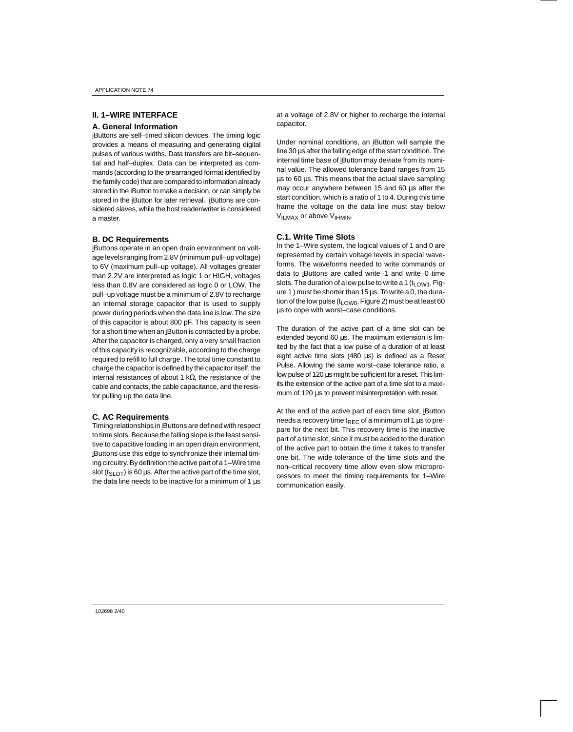## **II. 1–WIRE INTERFACE**

#### **A. General Information**

iButtons are self–timed silicon devices. The timing logic provides a means of measuring and generating digital pulses of various widths. Data transfers are bit–sequential and half–duplex. Data can be interpreted as commands (according to the prearranged format identified by the family code) that are compared to information already stored in the iButton to make a decision, or can simply be stored in the iButton for later retrieval. iButtons are considered slaves, while the host reader/writer is considered a master.

#### **B. DC Requirements**

iButtons operate in an open drain environment on voltage levels ranging from 2.8V (minimum pull–up voltage) to 6V (maximum pull–up voltage). All voltages greater than 2.2V are interpreted as logic 1 or HIGH, voltages less than 0.8V are considered as logic 0 or LOW. The pull–up voltage must be a minimum of 2.8V to recharge an internal storage capacitor that is used to supply power during periods when the data line is low. The size of this capacitor is about 800 pF. This capacity is seen for a short time when an iButton is contacted by a probe. After the capacitor is charged, only a very small fraction of this capacity is recognizable, according to the charge required to refill to full charge. The total time constant to charge the capacitor is defined by the capacitor itself, the internal resistances of about 1 kΩ, the resistance of the cable and contacts, the cable capacitance, and the resistor pulling up the data line.

### **C. AC Requirements**

Timing relationships in iButtons are defined with respect to time slots. Because the falling slope is the least sensitive to capacitive loading in an open drain environment, iButtons use this edge to synchronize their internal timing circuitry. By definition the active part of a 1–Wire time slot ( $t_{SLOT}$ ) is 60 µs. After the active part of the time slot, the data line needs to be inactive for a minimum of 1  $\mu$ s at a voltage of 2.8V or higher to recharge the internal capacitor.

Under nominal conditions, an iButton will sample the line 30 µs after the falling edge of the start condition. The internal time base of iButton may deviate from its nominal value. The allowed tolerance band ranges from 15 µs to 60 µs. This means that the actual slave sampling may occur anywhere between 15 and 60 us after the start condition, which is a ratio of 1 to 4. During this time frame the voltage on the data line must stay below  $V_{ILMAX}$  or above  $V_{IHMIN}$ .

#### **C.1. Write Time Slots**

In the 1–Wire system, the logical values of 1 and 0 are represented by certain voltage levels in special waveforms. The waveforms needed to write commands or data to iButtons are called write–1 and write–0 time slots. The duration of a low pulse to write a 1 ( $t_{LOW1}$ , Figure 1) must be shorter than 15  $\mu$ s. To write a 0, the duration of the low pulse ( $t_{LOW0}$ , Figure 2) must be at least 60 µs to cope with worst–case conditions.

The duration of the active part of a time slot can be extended beyond 60 µs. The maximum extension is limited by the fact that a low pulse of a duration of at least eight active time slots (480 µs) is defined as a Reset Pulse. Allowing the same worst–case tolerance ratio, a low pulse of 120 µs might be sufficient for a reset. This limits the extension of the active part of a time slot to a maximum of 120  $\mu$ s to prevent misinterpretation with reset.

At the end of the active part of each time slot, iButton needs a recovery time t<sub>REC</sub> of a minimum of 1  $\mu$ s to prepare for the next bit. This recovery time is the inactive part of a time slot, since it must be added to the duration of the active part to obtain the time it takes to transfer one bit. The wide tolerance of the time slots and the non–critical recovery time allow even slow microprocessors to meet the timing requirements for 1–Wire communication easily.

102698 2/40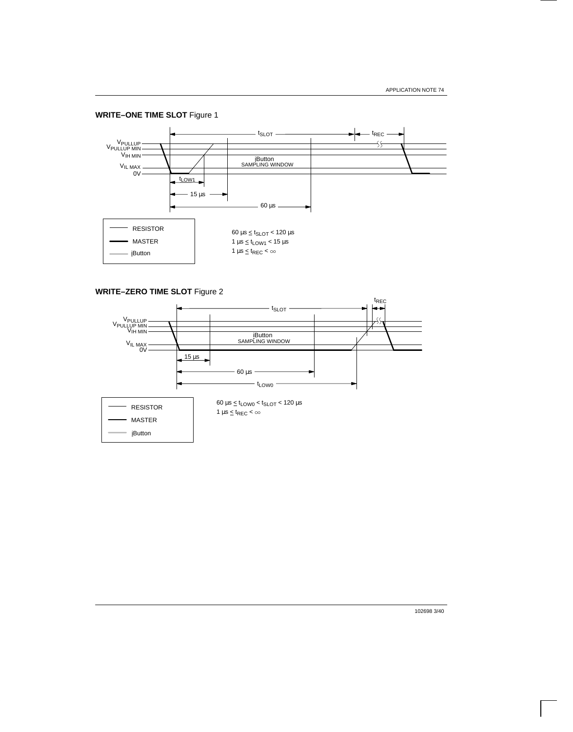**WRITE–ONE TIME SLOT** Figure 1



**WRITE–ZERO TIME SLOT** Figure 2



102698 3/40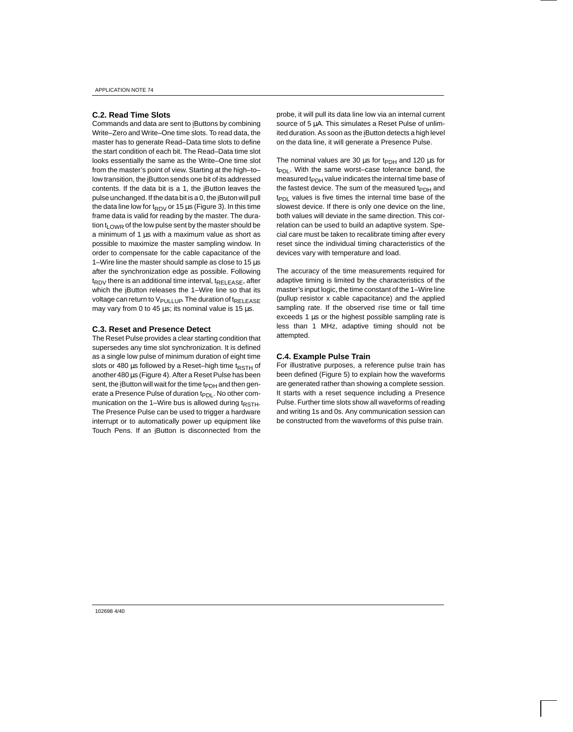## **C.2. Read Time Slots**

Commands and data are sent to iButtons by combining Write–Zero and Write–One time slots. To read data, the master has to generate Read–Data time slots to define the start condition of each bit. The Read–Data time slot looks essentially the same as the Write–One time slot from the master's point of view. Starting at the high–to– low transition, the iButton sends one bit of its addressed contents. If the data bit is a 1, the iButton leaves the pulse unchanged. If the data bit is a 0, the iButon will pull the data line low for  $t_{RDV}$  or 15  $\mu$ s (Figure 3). In this time frame data is valid for reading by the master. The duration  $t_{\text{LOWR}}$  of the low pulse sent by the master should be a minimum of 1 µs with a maximum value as short as possible to maximize the master sampling window. In order to compensate for the cable capacitance of the 1–Wire line the master should sample as close to  $15 \,\mu s$ after the synchronization edge as possible. Following  $t_{RDV}$  there is an additional time interval,  $t_{RELEASE}$ , after which the iButton releases the 1-Wire line so that its voltage can return to  $V_{\text{PULLUP}}$ . The duration of t $_{\text{RELEASE}}$ may vary from 0 to 45 µs; its nominal value is 15 µs.

#### **C.3. Reset and Presence Detect**

The Reset Pulse provides a clear starting condition that supersedes any time slot synchronization. It is defined as a single low pulse of minimum duration of eight time slots or 480  $\mu$ s followed by a Reset-high time t<sub>RSTH</sub> of another 480 µs (Figure 4). After a Reset Pulse has been sent, the iButton will wait for the time  $t_{PDH}$  and then generate a Presence Pulse of duration t<sub>PDL</sub>. No other communication on the 1–Wire bus is allowed during  $t_{RSTH}$ . The Presence Pulse can be used to trigger a hardware interrupt or to automatically power up equipment like Touch Pens. If an iButton is disconnected from the probe, it will pull its data line low via an internal current source of 5  $\mu$ A. This simulates a Reset Pulse of unlimited duration. As soon as the iButton detects a high level on the data line, it will generate a Presence Pulse.

The nominal values are 30  $\mu$ s for t<sub>PDH</sub> and 120  $\mu$ s for t<sub>PDL</sub>. With the same worst–case tolerance band, the measured  $t_{\text{PDH}}$  value indicates the internal time base of the fastest device. The sum of the measured t<sub>PDH</sub> and  $tp_{DL}$  values is five times the internal time base of the slowest device. If there is only one device on the line, both values will deviate in the same direction. This correlation can be used to build an adaptive system. Special care must be taken to recalibrate timing after every reset since the individual timing characteristics of the devices vary with temperature and load.

The accuracy of the time measurements required for adaptive timing is limited by the characteristics of the master's input logic, the time constant of the 1–Wire line (pullup resistor x cable capacitance) and the applied sampling rate. If the observed rise time or fall time exceeds 1 µs or the highest possible sampling rate is less than 1 MHz, adaptive timing should not be attempted.

#### **C.4. Example Pulse Train**

For illustrative purposes, a reference pulse train has been defined (Figure 5) to explain how the waveforms are generated rather than showing a complete session. It starts with a reset sequence including a Presence Pulse. Further time slots show all waveforms of reading and writing 1s and 0s. Any communication session can be constructed from the waveforms of this pulse train.

102698 4/40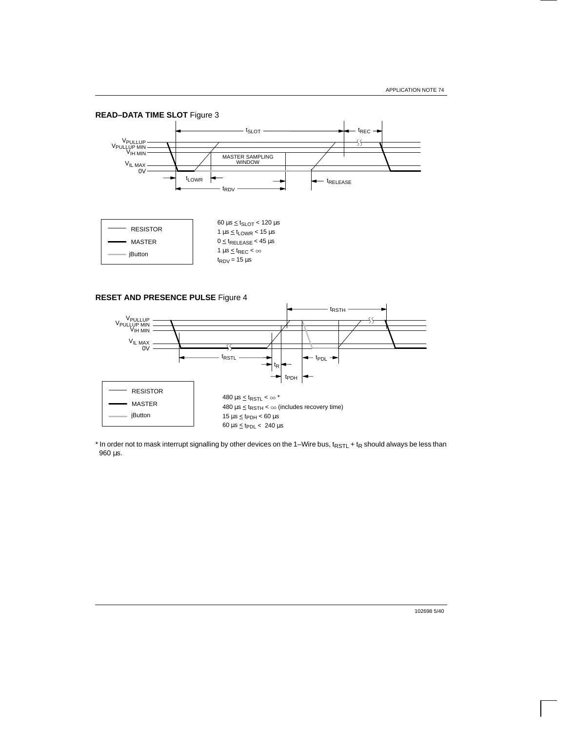

**RESET AND PRESENCE PULSE** Figure 4



 $*$  In order not to mask interrupt signalling by other devices on the 1–Wire bus, t<sub>RSTL</sub> + t<sub>R</sub> should always be less than 960 µs.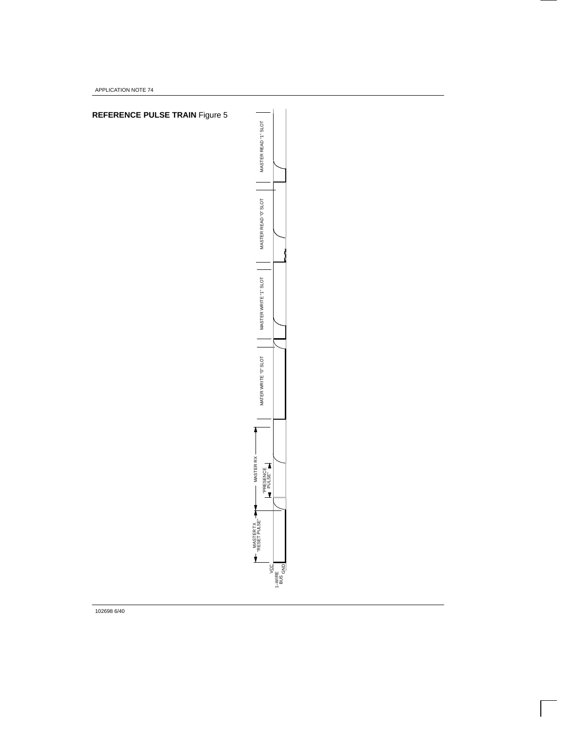APPLICATION NOTE 74



102698 6/40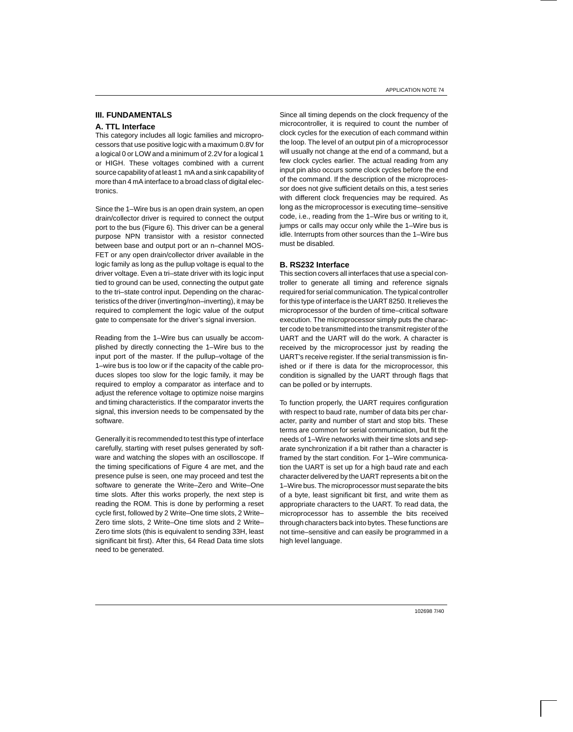## **III. FUNDAMENTALS**

#### **A. TTL Interface**

This category includes all logic families and microprocessors that use positive logic with a maximum 0.8V for a logical 0 or LOW and a minimum of 2.2V for a logical 1 or HIGH. These voltages combined with a current source capability of at least 1 mA and a sink capability of more than 4 mA interface to a broad class of digital electronics.

Since the 1–Wire bus is an open drain system, an open drain/collector driver is required to connect the output port to the bus (Figure 6). This driver can be a general purpose NPN transistor with a resistor connected between base and output port or an n–channel MOS-FET or any open drain/collector driver available in the logic family as long as the pullup voltage is equal to the driver voltage. Even a tri–state driver with its logic input tied to ground can be used, connecting the output gate to the tri–state control input. Depending on the characteristics of the driver (inverting/non–inverting), it may be required to complement the logic value of the output gate to compensate for the driver's signal inversion.

Reading from the 1–Wire bus can usually be accomplished by directly connecting the 1–Wire bus to the input port of the master. If the pullup–voltage of the 1–wire bus is too low or if the capacity of the cable produces slopes too slow for the logic family, it may be required to employ a comparator as interface and to adjust the reference voltage to optimize noise margins and timing characteristics. If the comparator inverts the signal, this inversion needs to be compensated by the software.

Generally it is recommended to test this type of interface carefully, starting with reset pulses generated by software and watching the slopes with an oscilloscope. If the timing specifications of Figure 4 are met, and the presence pulse is seen, one may proceed and test the software to generate the Write–Zero and Write–One time slots. After this works properly, the next step is reading the ROM. This is done by performing a reset cycle first, followed by 2 Write–One time slots, 2 Write– Zero time slots, 2 Write–One time slots and 2 Write– Zero time slots (this is equivalent to sending 33H, least significant bit first). After this, 64 Read Data time slots need to be generated.

Since all timing depends on the clock frequency of the microcontroller, it is required to count the number of clock cycles for the execution of each command within the loop. The level of an output pin of a microprocessor will usually not change at the end of a command, but a few clock cycles earlier. The actual reading from any input pin also occurs some clock cycles before the end of the command. If the description of the microprocessor does not give sufficient details on this, a test series with different clock frequencies may be required. As long as the microprocessor is executing time–sensitive code, i.e., reading from the 1–Wire bus or writing to it, jumps or calls may occur only while the 1–Wire bus is idle. Interrupts from other sources than the 1–Wire bus must be disabled.

## **B. RS232 Interface**

This section covers all interfaces that use a special controller to generate all timing and reference signals required for serial communication. The typical controller for this type of interface is the UART 8250. It relieves the microprocessor of the burden of time–critical software execution. The microprocessor simply puts the character code to be transmitted into the transmit register of the UART and the UART will do the work. A character is received by the microprocessor just by reading the UART's receive register. If the serial transmission is finished or if there is data for the microprocessor, this condition is signalled by the UART through flags that can be polled or by interrupts.

To function properly, the UART requires configuration with respect to baud rate, number of data bits per character, parity and number of start and stop bits. These terms are common for serial communication, but fit the needs of 1–Wire networks with their time slots and separate synchronization if a bit rather than a character is framed by the start condition. For 1–Wire communication the UART is set up for a high baud rate and each character delivered by the UART represents a bit on the 1–Wire bus. The microprocessor must separate the bits of a byte, least significant bit first, and write them as appropriate characters to the UART. To read data, the microprocessor has to assemble the bits received through characters back into bytes. These functions are not time–sensitive and can easily be programmed in a high level language.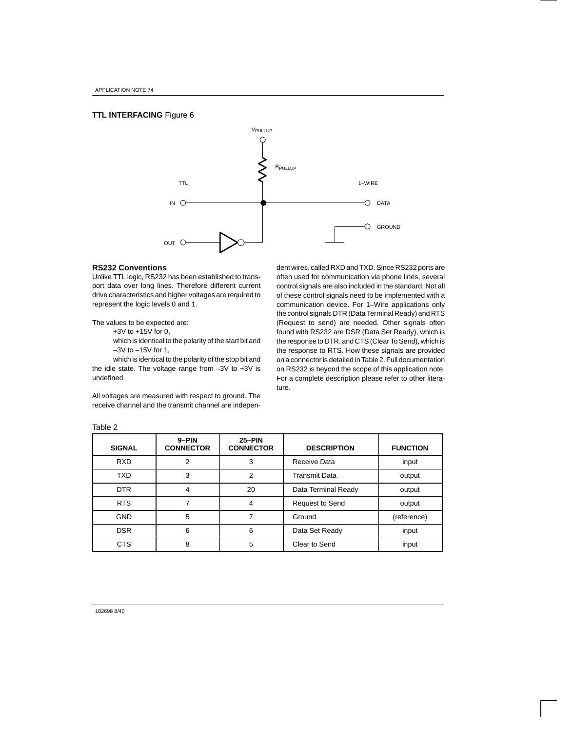## **TTL INTERFACING** Figure 6



#### **RS232 Conventions**

Unlike TTL logic, RS232 has been established to transport data over long lines. Therefore different current drive characteristics and higher voltages are required to represent the logic levels 0 and 1.

The values to be expected are:

+3V to +15V for 0,

which is identical to the polarity of the start bit and –3V to –15V for 1,

which is identical to the polarity of the stop bit and the idle state. The voltage range from –3V to +3V is undefined.

All voltages are measured with respect to ground. The receive channel and the transmit channel are indepen-

dent wires, called RXD and TXD. Since RS232 ports are often used for communication via phone lines, several control signals are also included in the standard. Not all of these control signals need to be implemented with a communication device. For 1–Wire applications only the control signals DTR (Data Terminal Ready) and RTS (Request to send) are needed. Other signals often found with RS232 are DSR (Data Set Ready), which is the response to DTR, and CTS (Clear To Send), which is the response to RTS. How these signals are provided on a connector is detailed in Table 2. Full documentation on RS232 is beyond the scope of this application note. For a complete description please refer to other literature.

| <b>SIGNAL</b> | $9 - PIN$<br><b>CONNECTOR</b> | $25-PIN$<br><b>CONNECTOR</b> | <b>DESCRIPTION</b>     | <b>FUNCTION</b> |
|---------------|-------------------------------|------------------------------|------------------------|-----------------|
| <b>RXD</b>    | 2                             | 3                            | Receive Data           | input           |
| <b>TXD</b>    | 3                             | 2                            | <b>Transmit Data</b>   | output          |
| <b>DTR</b>    | 4                             | 20                           | Data Terminal Ready    | output          |
| <b>RTS</b>    |                               | 4                            | <b>Request to Send</b> | output          |
| <b>GND</b>    | 5                             |                              | Ground                 | (reference)     |
| <b>DSR</b>    | 6                             | 6                            | Data Set Ready         | input           |
| <b>CTS</b>    | 8                             | 5                            | Clear to Send          | input           |

Table 2

102698 8/40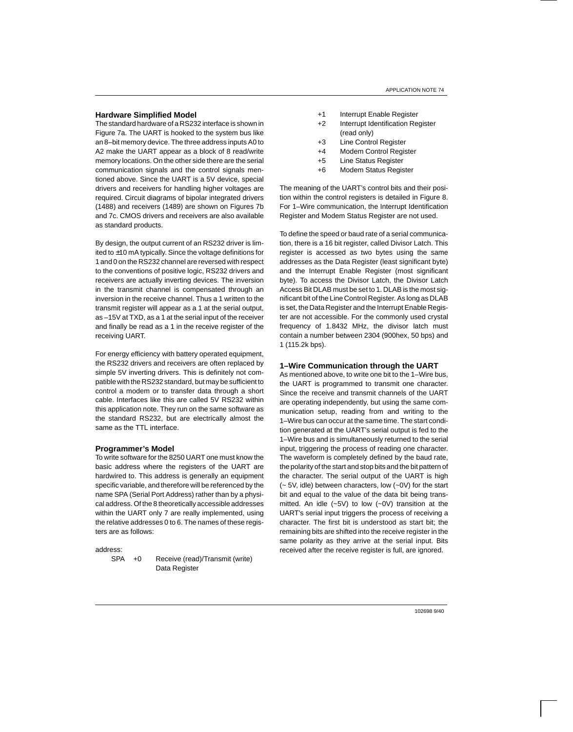#### **Hardware Simplified Model**

The standard hardware of a RS232 interface is shown in Figure 7a. The UART is hooked to the system bus like an 8–bit memory device. The three address inputs A0 to A2 make the UART appear as a block of 8 read/write memory locations. On the other side there are the serial communication signals and the control signals mentioned above. Since the UART is a 5V device, special drivers and receivers for handling higher voltages are required. Circuit diagrams of bipolar integrated drivers (1488) and receivers (1489) are shown on Figures 7b and 7c. CMOS drivers and receivers are also available as standard products.

By design, the output current of an RS232 driver is limited to ±10 mA typically. Since the voltage definitions for 1 and 0 on the RS232 channel are reversed with respect to the conventions of positive logic, RS232 drivers and receivers are actually inverting devices. The inversion in the transmit channel is compensated through an inversion in the receive channel. Thus a 1 written to the transmit register will appear as a 1 at the serial output, as –15V at TXD, as a 1 at the serial input of the receiver and finally be read as a 1 in the receive register of the receiving UART.

For energy efficiency with battery operated equipment, the RS232 drivers and receivers are often replaced by simple 5V inverting drivers. This is definitely not compatible with the RS232 standard, but may be sufficient to control a modem or to transfer data through a short cable. Interfaces like this are called 5V RS232 within this application note. They run on the same software as the standard RS232, but are electrically almost the same as the TTL interface.

#### **Programmer's Model**

To write software for the 8250 UART one must know the basic address where the registers of the UART are hardwired to. This address is generally an equipment specific variable, and therefore will be referenced by the name SPA (Serial Port Address) rather than by a physical address. Of the 8 theoretically accessible addresses within the UART only 7 are really implemented, using the relative addresses 0 to 6. The names of these registers are as follows:

address:

SPA +0 Receive (read)/Transmit (write) Data Register

- +1 Interrupt Enable Register
- +2 Interrupt Identification Register (read only)
- +3 Line Control Register
- +4 Modem Control Register
- +5 Line Status Register
- +6 Modem Status Register

The meaning of the UART's control bits and their position within the control registers is detailed in Figure 8. For 1–Wire communication, the Interrupt Identification Register and Modem Status Register are not used.

To define the speed or baud rate of a serial communication, there is a 16 bit register, called Divisor Latch. This register is accessed as two bytes using the same addresses as the Data Register (least significant byte) and the Interrupt Enable Register (most significant byte). To access the Divisor Latch, the Divisor Latch Access Bit DLAB must be set to 1. DLAB is the most significant bit of the Line Control Register. As long as DLAB is set, the Data Register and the Interrupt Enable Register are not accessible. For the commonly used crystal frequency of 1.8432 MHz, the divisor latch must contain a number between 2304 (900hex, 50 bps) and 1 (115.2k bps).

#### **1–Wire Communication through the UART**

As mentioned above, to write one bit to the 1–Wire bus, the UART is programmed to transmit one character. Since the receive and transmit channels of the UART are operating independently, but using the same communication setup, reading from and writing to the 1–Wire bus can occur at the same time. The start condition generated at the UART's serial output is fed to the 1–Wire bus and is simultaneously returned to the serial input, triggering the process of reading one character. The waveform is completely defined by the baud rate, the polarity of the start and stop bits and the bit pattern of the character. The serial output of the UART is high (~ 5V, idle) between characters, low (~0V) for the start bit and equal to the value of the data bit being transmitted. An idle (~5V) to low (~0V) transition at the UART's serial input triggers the process of receiving a character. The first bit is understood as start bit; the remaining bits are shifted into the receive register in the same polarity as they arrive at the serial input. Bits received after the receive register is full, are ignored.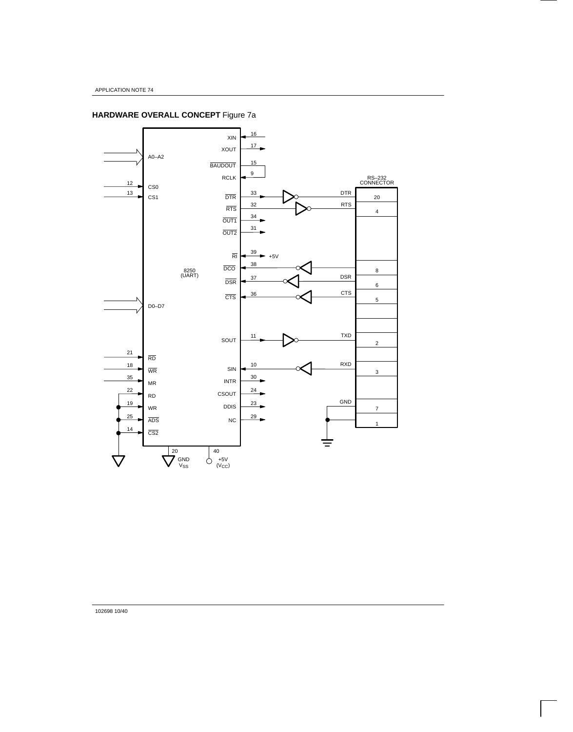# **HARDWARE OVERALL CONCEPT** Figure 7a



102698 10/40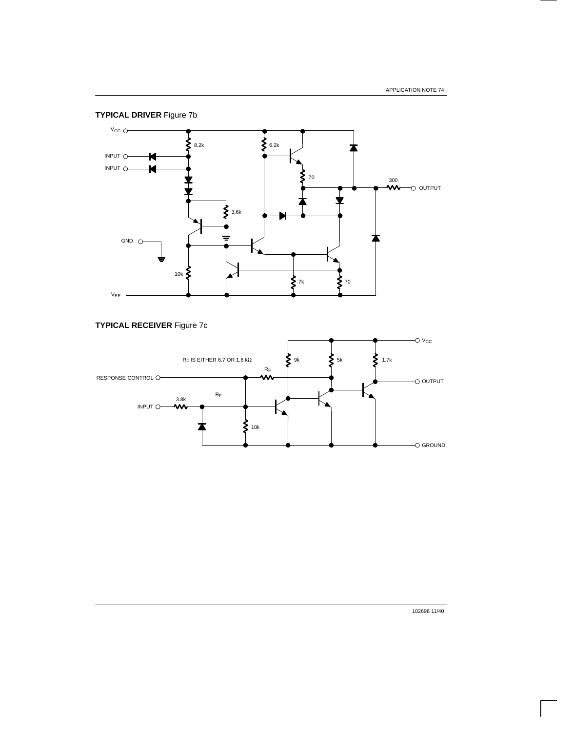

## **TYPICAL RECEIVER** Figure 7c



102698 11/40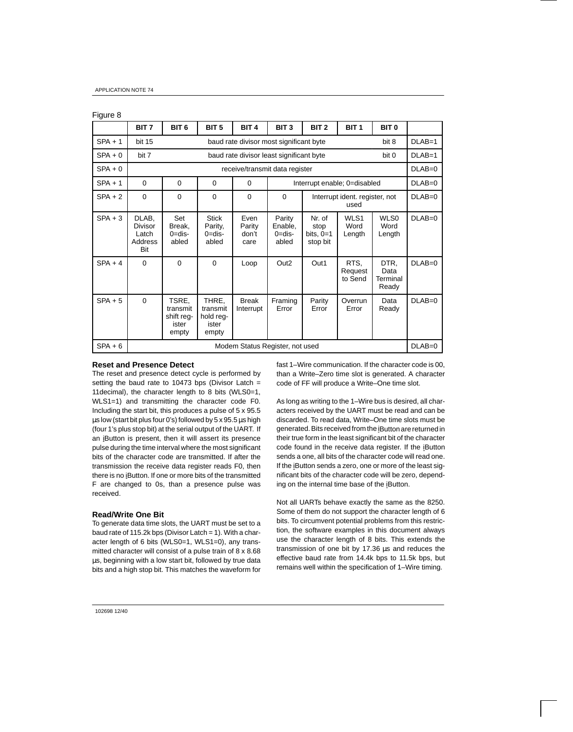| Figure 8  |                                                    |                                                                  |                                                  |                                 |                                          |                                           |                                |                                   |          |
|-----------|----------------------------------------------------|------------------------------------------------------------------|--------------------------------------------------|---------------------------------|------------------------------------------|-------------------------------------------|--------------------------------|-----------------------------------|----------|
|           | BIT <sub>7</sub>                                   | BIT <sub>6</sub>                                                 | BIT <sub>5</sub>                                 | BIT <sub>4</sub>                | BIT <sub>3</sub>                         | BIT <sub>2</sub>                          | BIT <sub>1</sub>               | BIT <sub>0</sub>                  |          |
| $SPA + 1$ | <b>bit 15</b>                                      | baud rate divisor most significant byte<br>bit 8                 |                                                  |                                 |                                          |                                           |                                |                                   |          |
| $SPA + 0$ | bit 7                                              | baud rate divisor least significant byte<br>bit 0                |                                                  |                                 |                                          |                                           |                                |                                   |          |
| $SPA + 0$ |                                                    |                                                                  |                                                  | receive/transmit data register  |                                          |                                           |                                |                                   | $DLAB=0$ |
| $SPA + 1$ | $\Omega$                                           | $\Omega$<br>$\Omega$<br>Interrupt enable; 0=disabled<br>$\Omega$ |                                                  |                                 |                                          |                                           |                                | $DLAB=0$                          |          |
| $SPA + 2$ | $\Omega$                                           | $\Omega$                                                         | $\Omega$                                         | $\Omega$                        | $\Omega$                                 | Interrupt ident. register, not<br>used    |                                |                                   |          |
| $SPA + 3$ | DLAB.<br><b>Divisor</b><br>Latch<br>Address<br>Bit | Set<br>Break.<br>$0 = dis -$<br>abled                            | <b>Stick</b><br>Parity,<br>$0 =$ dis-<br>abled   | Fven<br>Parity<br>don't<br>care | Parity<br>Enable,<br>$0 =$ dis-<br>abled | Nr. of<br>stop<br>bits, $0=1$<br>stop bit | <b>WI S1</b><br>Word<br>Length | WI SO<br>Word<br>Length           | $DLAB=0$ |
| $SPA + 4$ | $\Omega$                                           | $\Omega$                                                         | $\Omega$                                         | Loop                            | Out <sub>2</sub>                         | Out1                                      | RTS.<br>Request<br>to Send     | DTR.<br>Data<br>Terminal<br>Ready | $DLAB=0$ |
| $SPA + 5$ | $\Omega$                                           | TSRE.<br>transmit<br>shift rea-<br>ister<br>empty                | THRE.<br>transmit<br>hold req-<br>ister<br>empty | <b>Break</b><br>Interrupt       | Framing<br>Error                         | Parity<br>Error                           | Overrun<br>Error               | Data<br>Ready                     | $DLAB=0$ |
| $SPA + 6$ | Modem Status Register, not used                    |                                                                  |                                                  |                                 |                                          |                                           |                                |                                   | $DLAB=0$ |

### **Reset and Presence Detect**

The reset and presence detect cycle is performed by setting the baud rate to 10473 bps (Divisor Latch  $=$ 11decimal), the character length to 8 bits (WLS0=1, WLS1=1) and transmitting the character code F0. Including the start bit, this produces a pulse of 5 x 95.5 µs low (start bit plus four 0's) followed by 5 x 95.5 µs high (four 1's plus stop bit) at the serial output of the UART. If an iButton is present, then it will assert its presence pulse during the time interval where the most significant bits of the character code are transmitted. If after the transmission the receive data register reads F0, then there is no iButton. If one or more bits of the transmitted F are changed to 0s, than a presence pulse was received.

#### **Read/Write One Bit**

To generate data time slots, the UART must be set to a baud rate of 115.2k bps (Divisor Latch = 1). With a character length of 6 bits (WLS0=1, WLS1=0), any transmitted character will consist of a pulse train of 8 x 8.68 µs, beginning with a low start bit, followed by true data bits and a high stop bit. This matches the waveform for fast 1–Wire communication. If the character code is 00, than a Write–Zero time slot is generated. A character code of FF will produce a Write–One time slot.

As long as writing to the 1–Wire bus is desired, all characters received by the UART must be read and can be discarded. To read data, Write–One time slots must be generated. Bits received from the iButton are returned in their true form in the least significant bit of the character code found in the receive data register. If the iButton sends a one, all bits of the character code will read one. If the iButton sends a zero, one or more of the least significant bits of the character code will be zero, depending on the internal time base of the iButton.

Not all UARTs behave exactly the same as the 8250. Some of them do not support the character length of 6 bits. To circumvent potential problems from this restriction, the software examples in this document always use the character length of 8 bits. This extends the transmission of one bit by 17.36 µs and reduces the effective baud rate from 14.4k bps to 11.5k bps, but remains well within the specification of 1–Wire timing.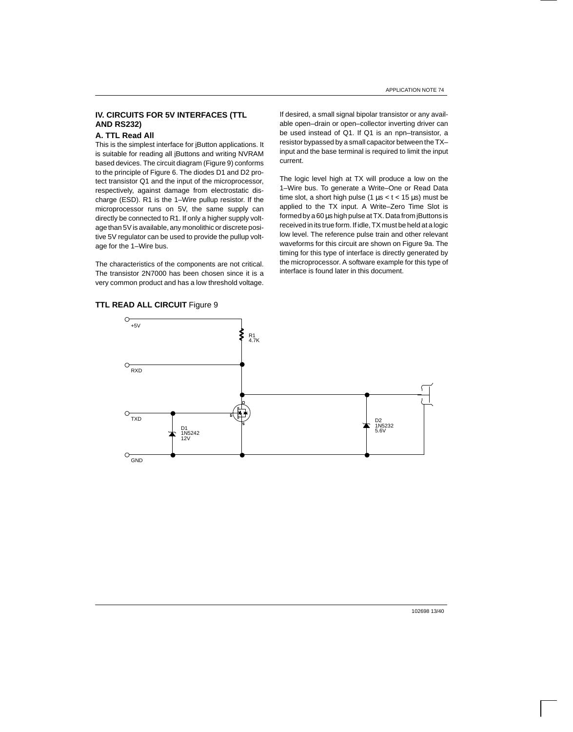## **IV. CIRCUITS FOR 5V INTERFACES (TTL AND RS232)**

### **A. TTL Read All**

This is the simplest interface for iButton applications. It is suitable for reading all iButtons and writing NVRAM based devices. The circuit diagram (Figure 9) conforms to the principle of Figure 6. The diodes D1 and D2 protect transistor Q1 and the input of the microprocessor, respectively, against damage from electrostatic discharge (ESD). R1 is the 1–Wire pullup resistor. If the microprocessor runs on 5V, the same supply can directly be connected to R1. If only a higher supply voltage than 5V is available, any monolithic or discrete positive 5V regulator can be used to provide the pullup voltage for the 1–Wire bus.

The characteristics of the components are not critical. The transistor 2N7000 has been chosen since it is a very common product and has a low threshold voltage.

**TTL READ ALL CIRCUIT** Figure 9

If desired, a small signal bipolar transistor or any available open–drain or open–collector inverting driver can be used instead of Q1. If Q1 is an npn–transistor, a resistor bypassed by a small capacitor between the TX– input and the base terminal is required to limit the input current.

The logic level high at TX will produce a low on the 1–Wire bus. To generate a Write–One or Read Data time slot, a short high pulse (1  $\mu$ s < t < 15  $\mu$ s) must be applied to the TX input. A Write–Zero Time Slot is formed by a 60 µs high pulse at TX. Data from iButtons is received in its true form. If idle, TX must be held at a logic low level. The reference pulse train and other relevant waveforms for this circuit are shown on Figure 9a. The timing for this type of interface is directly generated by the microprocessor. A software example for this type of interface is found later in this document.

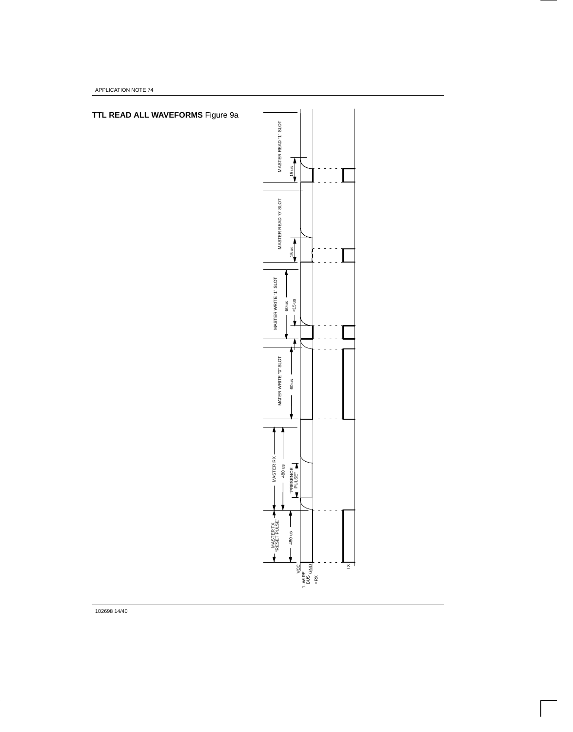APPLICATION NOTE 74



102698 14/40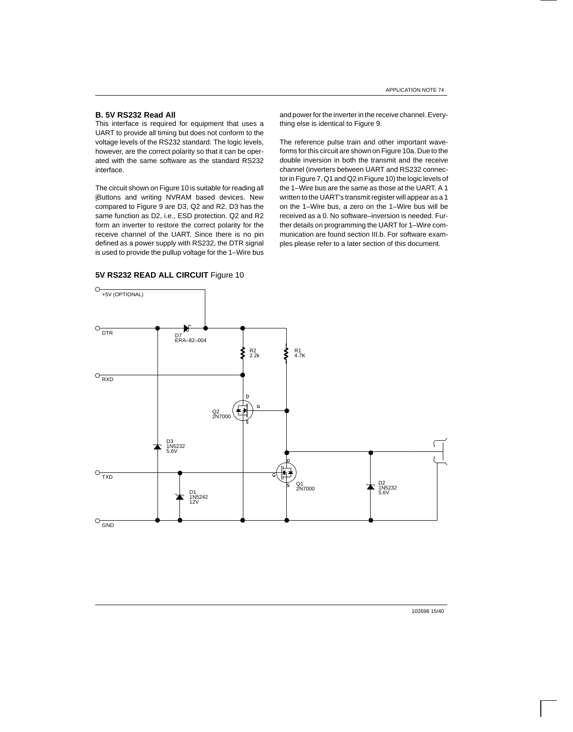## **B. 5V RS232 Read All**

This interface is required for equipment that uses a UART to provide all timing but does not conform to the voltage levels of the RS232 standard. The logic levels, however, are the correct polarity so that it can be operated with the same software as the standard RS232 interface.

The circuit shown on Figure 10 is suitable for reading all iButtons and writing NVRAM based devices. New compared to Figure 9 are D3, Q2 and R2. D3 has the same function as D2, i.e., ESD protection. Q2 and R2 form an inverter to restore the correct polarity for the receive channel of the UART. Since there is no pin defined as a power supply with RS232, the DTR signal is used to provide the pullup voltage for the 1–Wire bus and power for the inverter in the receive channel. Everything else is identical to Figure 9.

The reference pulse train and other important waveforms for this circuit are shown on Figure 10a. Due to the double inversion in both the transmit and the receive channel (inverters between UART and RS232 connector in Figure 7, Q1 and Q2 in Figure 10) the logic levels of the 1–Wire bus are the same as those at the UART. A 1 written to the UART's transmit register will appear as a 1 on the 1–Wire bus, a zero on the 1–Wire bus will be received as a 0. No software–inversion is needed. Further details on programming the UART for 1–Wire communication are found section III.b. For software examples please refer to a later section of this document.



#### **5V RS232 READ ALL CIRCUIT** Figure 10

102698 15/40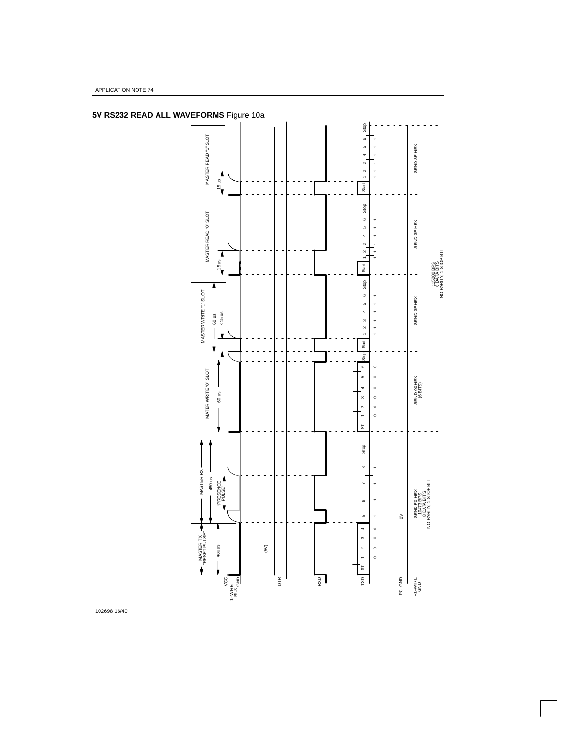

APPLICATION NOTE 74

102698 16/40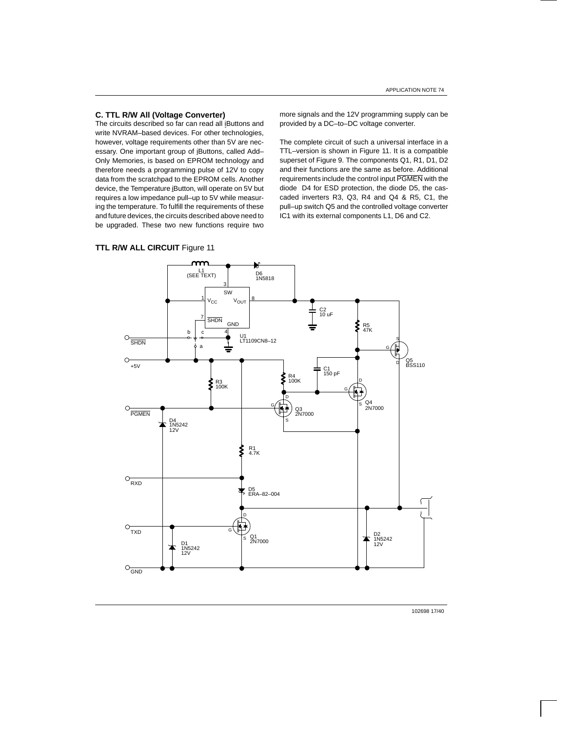## **C. TTL R/W All (Voltage Converter)**

The circuits described so far can read all iButtons and write NVRAM–based devices. For other technologies, however, voltage requirements other than 5V are necessary. One important group of iButtons, called Add– Only Memories, is based on EPROM technology and therefore needs a programming pulse of 12V to copy data from the scratchpad to the EPROM cells. Another device, the Temperature iButton, will operate on 5V but requires a low impedance pull–up to 5V while measuring the temperature. To fulfill the requirements of these and future devices, the circuits described above need to be upgraded. These two new functions require two more signals and the 12V programming supply can be provided by a DC–to–DC voltage converter.

The complete circuit of such a universal interface in a TTL–version is shown in Figure 11. It is a compatible superset of Figure 9. The components Q1, R1, D1, D2 and their functions are the same as before. Additional requirements include the control input PGMEN with the diode D4 for ESD protection, the diode D5, the cascaded inverters R3, Q3, R4 and Q4 & R5, C1, the pull–up switch Q5 and the controlled voltage converter IC1 with its external components L1, D6 and C2.

## **TTL R/W ALL CIRCUIT Figure 11**



102698 17/40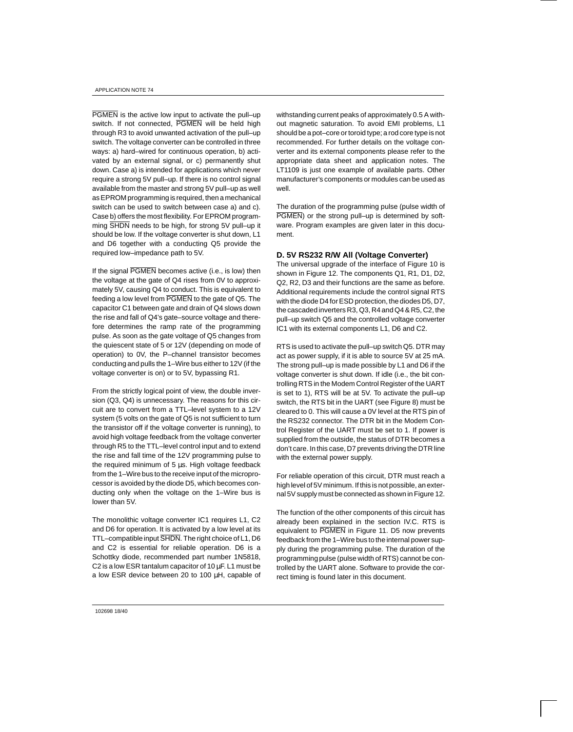PGMEN is the active low input to activate the pull–up switch. If not connected, PGMEN will be held high through R3 to avoid unwanted activation of the pull–up switch. The voltage converter can be controlled in three ways: a) hard–wired for continuous operation, b) activated by an external signal, or c) permanently shut down. Case a) is intended for applications which never require a strong 5V pull–up. If there is no control signal available from the master and strong 5V pull–up as well as EPROM programming is required, then a mechanical switch can be used to switch between case a) and c). Case b) offers the most flexibility. For EPROM programming SHDN needs to be high, for strong 5V pull–up it should be low. If the voltage converter is shut down, L1 and D6 together with a conducting Q5 provide the required low–impedance path to 5V.

If the signal PGMEN becomes active (i.e., is low) then the voltage at the gate of Q4 rises from 0V to approximately 5V, causing Q4 to conduct. This is equivalent to feeding a low level from PGMEN to the gate of Q5. The capacitor C1 between gate and drain of Q4 slows down the rise and fall of Q4's gate–source voltage and therefore determines the ramp rate of the programming pulse. As soon as the gate voltage of Q5 changes from the quiescent state of 5 or 12V (depending on mode of operation) to 0V, the P–channel transistor becomes conducting and pulls the 1–Wire bus either to 12V (if the voltage converter is on) or to 5V, bypassing R1.

From the strictly logical point of view, the double inversion (Q3, Q4) is unnecessary. The reasons for this circuit are to convert from a TTL–level system to a 12V system (5 volts on the gate of Q5 is not sufficient to turn the transistor off if the voltage converter is running), to avoid high voltage feedback from the voltage converter through R5 to the TTL–level control input and to extend the rise and fall time of the 12V programming pulse to the required minimum of 5 µs. High voltage feedback from the 1–Wire bus to the receive input of the microprocessor is avoided by the diode D5, which becomes conducting only when the voltage on the 1–Wire bus is lower than 5V.

The monolithic voltage converter IC1 requires L1, C2 and D6 for operation. It is activated by a low level at its TTL–compatible input SHDN. The right choice of L1, D6 and C2 is essential for reliable operation. D6 is a Schottky diode, recommended part number 1N5818, C2 is a low ESR tantalum capacitor of  $10 \mu F$ . L1 must be a low ESR device between 20 to 100 µH, capable of

withstanding current peaks of approximately 0.5 A without magnetic saturation. To avoid EMI problems, L1 should be a pot–core or toroid type; a rod core type is not recommended. For further details on the voltage converter and its external components please refer to the appropriate data sheet and application notes. The LT1109 is just one example of available parts. Other manufacturer's components or modules can be used as well.

The duration of the programming pulse (pulse width of PGMEN) or the strong pull–up is determined by software. Program examples are given later in this document.

#### **D. 5V RS232 R/W All (Voltage Converter)**

The universal upgrade of the interface of Figure 10 is shown in Figure 12. The components Q1, R1, D1, D2, Q2, R2, D3 and their functions are the same as before. Additional requirements include the control signal RTS with the diode D4 for ESD protection, the diodes D5, D7, the cascaded inverters R3, Q3, R4 and Q4 & R5, C2, the pull–up switch Q5 and the controlled voltage converter IC1 with its external components L1, D6 and C2.

RTS is used to activate the pull–up switch Q5. DTR may act as power supply, if it is able to source 5V at 25 mA. The strong pull–up is made possible by L1 and D6 if the voltage converter is shut down. If idle (i.e., the bit controlling RTS in the Modem Control Register of the UART is set to 1), RTS will be at 5V. To activate the pull–up switch, the RTS bit in the UART (see Figure 8) must be cleared to 0. This will cause a 0V level at the RTS pin of the RS232 connector. The DTR bit in the Modem Control Register of the UART must be set to 1. If power is supplied from the outside, the status of DTR becomes a don't care. In this case, D7 prevents driving the DTR line with the external power supply.

For reliable operation of this circuit, DTR must reach a high level of 5V minimum. If this is not possible, an external 5V supply must be connected as shown in Figure 12.

The function of the other components of this circuit has already been explained in the section IV.C. RTS is equivalent to PGMEN in Figure 11. D5 now prevents feedback from the 1–Wire bus to the internal power supply during the programming pulse. The duration of the programming pulse (pulse width of RTS) cannot be controlled by the UART alone. Software to provide the correct timing is found later in this document.

102698 18/40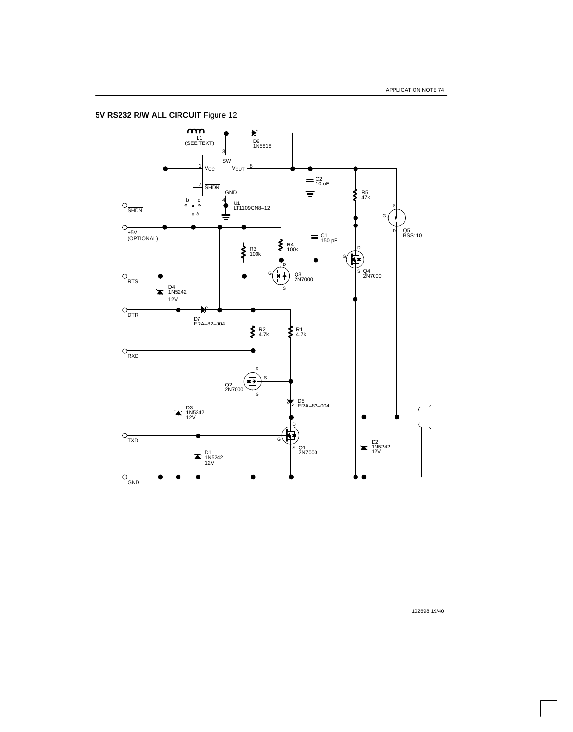**5V RS232 R/W ALL CIRCUIT** Figure 12



102698 19/40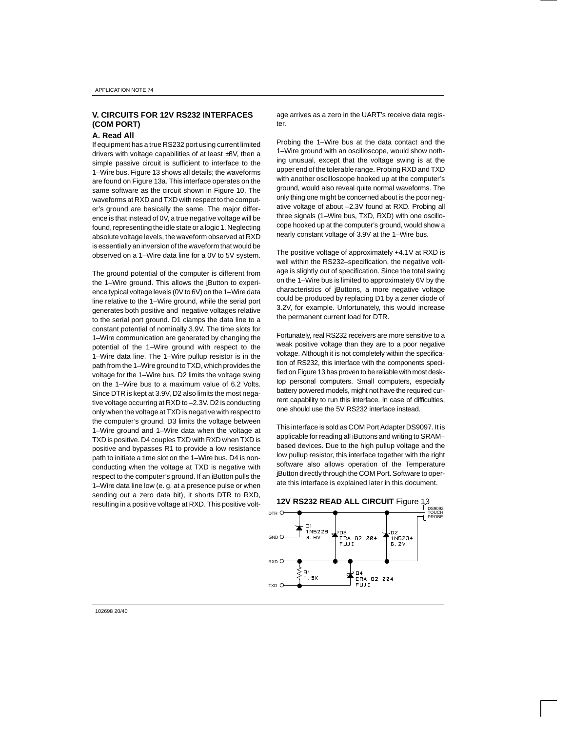## **V. CIRCUITS FOR 12V RS232 INTERFACES (COM PORT)**

#### **A. Read All**

If equipment has a true RS232 port using current limited drivers with voltage capabilities of at least ±8V, then a simple passive circuit is sufficient to interface to the 1–Wire bus. Figure 13 shows all details; the waveforms are found on Figure 13a. This interface operates on the same software as the circuit shown in Figure 10. The waveforms at RXD and TXD with respect to the computer's ground are basically the same. The major difference is that instead of 0V, a true negative voltage will be found, representing the idle state or a logic 1. Neglecting absolute voltage levels, the waveform observed at RXD is essentially an inversion of the waveform that would be observed on a 1–Wire data line for a 0V to 5V system.

The ground potential of the computer is different from the 1–Wire ground. This allows the iButton to experience typical voltage levels (0V to 6V) on the 1–Wire data line relative to the 1–Wire ground, while the serial port generates both positive and negative voltages relative to the serial port ground. D1 clamps the data line to a constant potential of nominally 3.9V. The time slots for 1–Wire communication are generated by changing the potential of the 1–Wire ground with respect to the 1–Wire data line. The 1–Wire pullup resistor is in the path from the 1–Wire ground to TXD, which provides the voltage for the 1–Wire bus. D2 limits the voltage swing on the 1–Wire bus to a maximum value of 6.2 Volts. Since DTR is kept at 3.9V, D2 also limits the most negative voltage occurring at RXD to –2.3V. D2 is conducting only when the voltage at TXD is negative with respect to the computer's ground. D3 limits the voltage between 1–Wire ground and 1–Wire data when the voltage at TXD is positive. D4 couples TXD with RXD when TXD is positive and bypasses R1 to provide a low resistance path to initiate a time slot on the 1–Wire bus. D4 is nonconducting when the voltage at TXD is negative with respect to the computer's ground. If an iButton pulls the 1–Wire data line low (e. g. at a presence pulse or when sending out a zero data bit), it shorts DTR to RXD, resulting in a positive voltage at RXD. This positive volt-

age arrives as a zero in the UART's receive data register.

Probing the 1–Wire bus at the data contact and the 1–Wire ground with an oscilloscope, would show nothing unusual, except that the voltage swing is at the upper end of the tolerable range. Probing RXD and TXD with another oscilloscope hooked up at the computer's ground, would also reveal quite normal waveforms. The only thing one might be concerned about is the poor negative voltage of about –2.3V found at RXD. Probing all three signals (1–Wire bus, TXD, RXD) with one oscillocope hooked up at the computer's ground, would show a nearly constant voltage of 3.9V at the 1–Wire bus.

The positive voltage of approximately +4.1V at RXD is well within the RS232–specification, the negative voltage is slightly out of specification. Since the total swing on the 1–Wire bus is limited to approximately 6V by the characteristics of iButtons, a more negative voltage could be produced by replacing D1 by a zener diode of 3.2V, for example. Unfortunately, this would increase the permanent current load for DTR.

Fortunately, real RS232 receivers are more sensitive to a weak positive voltage than they are to a poor negative voltage. Although it is not completely within the specification of RS232, this interface with the components specified on Figure 13 has proven to be reliable with most desktop personal computers. Small computers, especially battery powered models, might not have the required current capability to run this interface. In case of difficulties, one should use the 5V RS232 interface instead.

This interface is sold as COM Port Adapter DS9097. It is applicable for reading all iButtons and writing to SRAMbased devices. Due to the high pullup voltage and the low pullup resistor, this interface together with the right software also allows operation of the Temperature iButton directly through the COM Port. Software to operate this interface is explained later in this document.



102698 20/40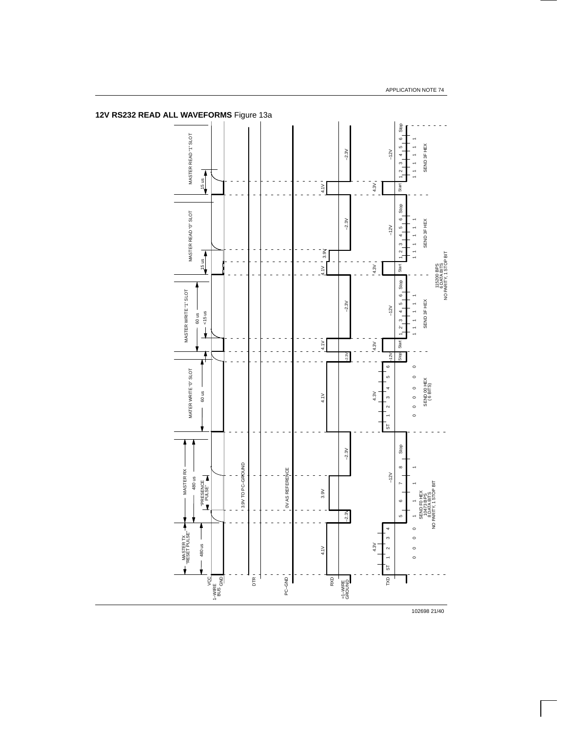

**12V RS232 READ ALL WAVEFORMS** Figure 13a

102698 21/40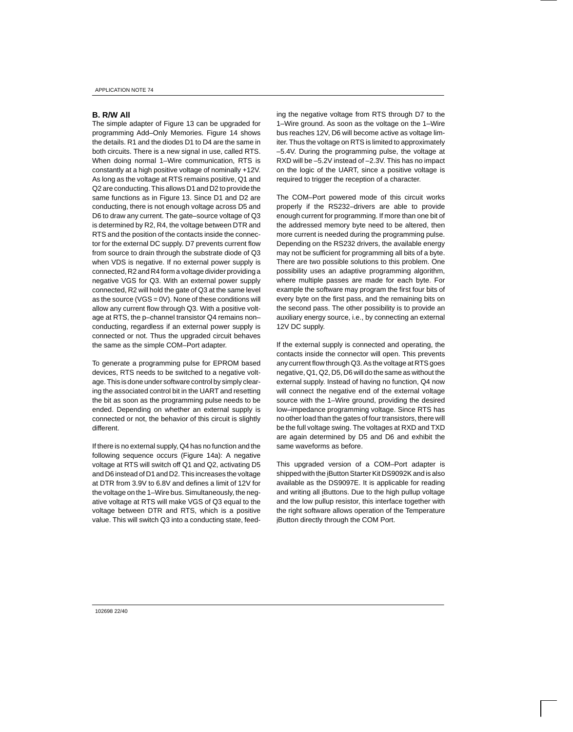### **B. R/W All**

The simple adapter of Figure 13 can be upgraded for programming Add–Only Memories. Figure 14 shows the details. R1 and the diodes D1 to D4 are the same in both circuits. There is a new signal in use, called RTS. When doing normal 1–Wire communication, RTS is constantly at a high positive voltage of nominally +12V. As long as the voltage at RTS remains positive, Q1 and Q2 are conducting. This allows D1 and D2 to provide the same functions as in Figure 13. Since D1 and D2 are conducting, there is not enough voltage across D5 and D6 to draw any current. The gate–source voltage of Q3 is determined by R2, R4, the voltage between DTR and RTS and the position of the contacts inside the connector for the external DC supply. D7 prevents current flow from source to drain through the substrate diode of Q3 when VDS is negative. If no external power supply is connected, R2 and R4 form a voltage divider providing a negative VGS for Q3. With an external power supply connected, R2 will hold the gate of Q3 at the same level as the source (VGS =  $0V$ ). None of these conditions will allow any current flow through Q3. With a positive voltage at RTS, the p–channel transistor Q4 remains non– conducting, regardless if an external power supply is connected or not. Thus the upgraded circuit behaves the same as the simple COM–Port adapter.

To generate a programming pulse for EPROM based devices, RTS needs to be switched to a negative voltage. This is done under software control by simply clearing the associated control bit in the UART and resetting the bit as soon as the programming pulse needs to be ended. Depending on whether an external supply is connected or not, the behavior of this circuit is slightly different.

If there is no external supply, Q4 has no function and the following sequence occurs (Figure 14a): A negative voltage at RTS will switch off Q1 and Q2, activating D5 and D6 instead of D1 and D2. This increases the voltage at DTR from 3.9V to 6.8V and defines a limit of 12V for the voltage on the 1–Wire bus. Simultaneously, the negative voltage at RTS will make VGS of Q3 equal to the voltage between DTR and RTS, which is a positive value. This will switch Q3 into a conducting state, feeding the negative voltage from RTS through D7 to the 1–Wire ground. As soon as the voltage on the 1–Wire bus reaches 12V, D6 will become active as voltage limiter. Thus the voltage on RTS is limited to approximately –5.4V. During the programming pulse, the voltage at RXD will be –5.2V instead of –2.3V. This has no impact on the logic of the UART, since a positive voltage is required to trigger the reception of a character.

The COM–Port powered mode of this circuit works properly if the RS232–drivers are able to provide enough current for programming. If more than one bit of the addressed memory byte need to be altered, then more current is needed during the programming pulse. Depending on the RS232 drivers, the available energy may not be sufficient for programming all bits of a byte. There are two possible solutions to this problem. One possibility uses an adaptive programming algorithm, where multiple passes are made for each byte. For example the software may program the first four bits of every byte on the first pass, and the remaining bits on the second pass. The other possibility is to provide an auxiliary energy source, i.e., by connecting an external 12V DC supply.

If the external supply is connected and operating, the contacts inside the connector will open. This prevents any current flow through Q3. As the voltage at RTS goes negative, Q1, Q2, D5, D6 will do the same as without the external supply. Instead of having no function, Q4 now will connect the negative end of the external voltage source with the 1–Wire ground, providing the desired low–impedance programming voltage. Since RTS has no other load than the gates of four transistors, there will be the full voltage swing. The voltages at RXD and TXD are again determined by D5 and D6 and exhibit the same waveforms as before.

This upgraded version of a COM–Port adapter is shipped with the iButton Starter Kit DS9092K and is also available as the DS9097E. It is applicable for reading and writing all iButtons. Due to the high pullup voltage and the low pullup resistor, this interface together with the right software allows operation of the Temperature iButton directly through the COM Port.

102698 22/40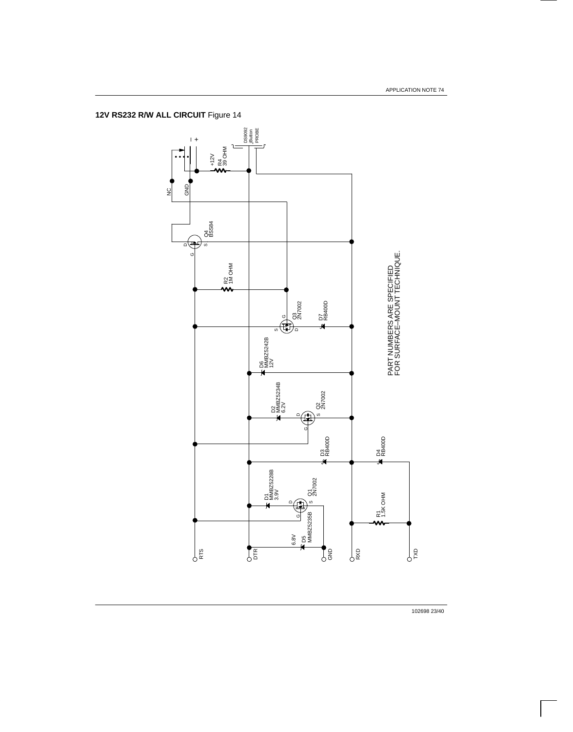**12V RS232 R/W ALL CIRCUIT** Figure 14



102698 23/40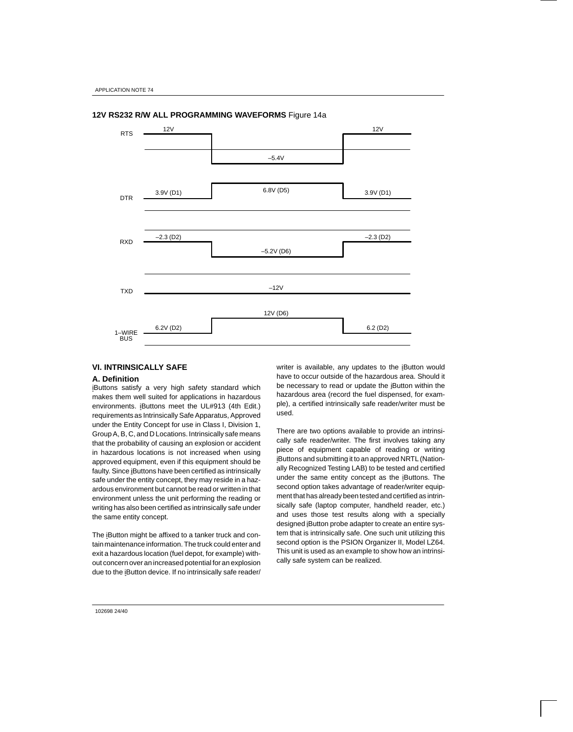

## **12V RS232 R/W ALL PROGRAMMING WAVEFORMS** Figure 14a

## **VI. INTRINSICALLY SAFE**

## **A. Definition**

iButtons satisfy a very high safety standard which makes them well suited for applications in hazardous environments. iButtons meet the UL#913 (4th Edit.) requirements as Intrinsically Safe Apparatus, Approved under the Entity Concept for use in Class I, Division 1, Group A, B, C, and D Locations. Intrinsically safe means that the probability of causing an explosion or accident in hazardous locations is not increased when using approved equipment, even if this equipment should be faulty. Since iButtons have been certified as intrinsically safe under the entity concept, they may reside in a hazardous environment but cannot be read or written in that environment unless the unit performing the reading or writing has also been certified as intrinsically safe under the same entity concept.

The iButton might be affixed to a tanker truck and contain maintenance information. The truck could enter and exit a hazardous location (fuel depot, for example) without concern over an increased potential for an explosion due to the iButton device. If no intrinsically safe reader/

writer is available, any updates to the iButton would have to occur outside of the hazardous area. Should it be necessary to read or update the iButton within the hazardous area (record the fuel dispensed, for example), a certified intrinsically safe reader/writer must be used.

There are two options available to provide an intrinsically safe reader/writer. The first involves taking any piece of equipment capable of reading or writing iButtons and submitting it to an approved NRTL (Nationally Recognized Testing LAB) to be tested and certified under the same entity concept as the iButtons. The second option takes advantage of reader/writer equipment that has already been tested and certified as intrinsically safe (laptop computer, handheld reader, etc.) and uses those test results along with a specially designed iButton probe adapter to create an entire system that is intrinsically safe. One such unit utilizing this second option is the PSION Organizer II, Model LZ64. This unit is used as an example to show how an intrinsically safe system can be realized.

102698 24/40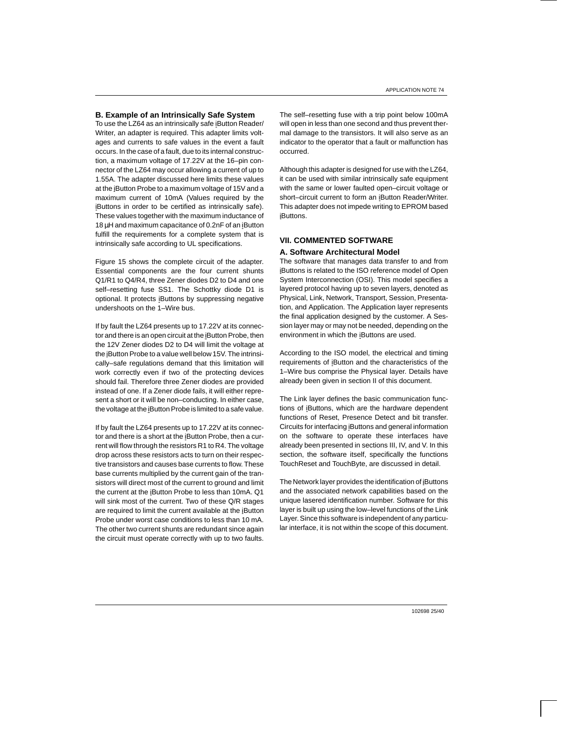### **B. Example of an Intrinsically Safe System**

To use the LZ64 as an intrinsically safe iButton Reader/ Writer, an adapter is required. This adapter limits voltages and currents to safe values in the event a fault occurs. In the case of a fault, due to its internal construction, a maximum voltage of 17.22V at the 16–pin connector of the LZ64 may occur allowing a current of up to 1.55A. The adapter discussed here limits these values at the iButton Probe to a maximum voltage of 15V and a maximum current of 10mA (Values required by the iButtons in order to be certified as intrinsically safe). These values together with the maximum inductance of 18 µH and maximum capacitance of 0.2nF of an iButton fulfill the requirements for a complete system that is intrinsically safe according to UL specifications.

Figure 15 shows the complete circuit of the adapter. Essential components are the four current shunts Q1/R1 to Q4/R4, three Zener diodes D2 to D4 and one self–resetting fuse SS1. The Schottky diode D1 is optional. It protects iButtons by suppressing negative undershoots on the 1–Wire bus.

If by fault the LZ64 presents up to 17.22V at its connector and there is an open circuit at the iButton Probe, then the 12V Zener diodes D2 to D4 will limit the voltage at the iButton Probe to a value well below 15V. The intrinsically–safe regulations demand that this limitation will work correctly even if two of the protecting devices should fail. Therefore three Zener diodes are provided instead of one. If a Zener diode fails, it will either represent a short or it will be non–conducting. In either case, the voltage at the iButton Probe is limited to a safe value.

If by fault the LZ64 presents up to 17.22V at its connector and there is a short at the iButton Probe, then a current will flow through the resistors R1 to R4. The voltage drop across these resistors acts to turn on their respective transistors and causes base currents to flow. These base currents multiplied by the current gain of the transistors will direct most of the current to ground and limit the current at the iButton Probe to less than 10mA. Q1 will sink most of the current. Two of these Q/R stages are required to limit the current available at the iButton Probe under worst case conditions to less than 10 mA. The other two current shunts are redundant since again the circuit must operate correctly with up to two faults.

The self–resetting fuse with a trip point below 100mA will open in less than one second and thus prevent thermal damage to the transistors. It will also serve as an indicator to the operator that a fault or malfunction has occurred.

Although this adapter is designed for use with the LZ64, it can be used with similar intrinsically safe equipment with the same or lower faulted open–circuit voltage or short-circuit current to form an iButton Reader/Writer. This adapter does not impede writing to EPROM based iButtons.

## **VII. COMMENTED SOFTWARE A. Software Architectural Model**

The software that manages data transfer to and from iButtons is related to the ISO reference model of Open System Interconnection (OSI). This model specifies a layered protocol having up to seven layers, denoted as Physical, Link, Network, Transport, Session, Presentation, and Application. The Application layer represents the final application designed by the customer. A Session layer may or may not be needed, depending on the environment in which the iButtons are used.

According to the ISO model, the electrical and timing requirements of iButton and the characteristics of the 1–Wire bus comprise the Physical layer. Details have already been given in section II of this document.

The Link layer defines the basic communication functions of iButtons, which are the hardware dependent functions of Reset, Presence Detect and bit transfer. Circuits for interfacing iButtons and general information on the software to operate these interfaces have already been presented in sections III, IV, and V. In this section, the software itself, specifically the functions TouchReset and TouchByte, are discussed in detail.

The Network layer provides the identification of iButtons and the associated network capabilities based on the unique lasered identification number. Software for this layer is built up using the low–level functions of the Link Layer. Since this software is independent of any particular interface, it is not within the scope of this document.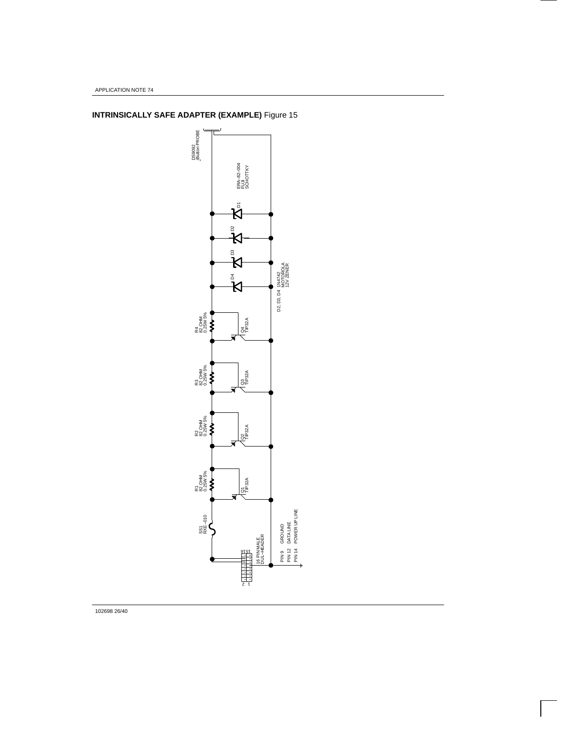

**INTRINSICALLY SAFE ADAPTER (EXAMPLE)** Figure 15

102698 26/40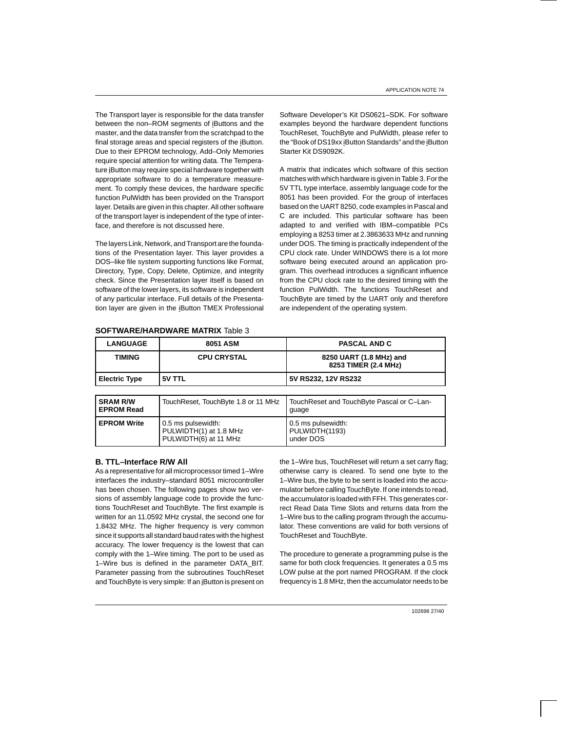The Transport layer is responsible for the data transfer between the non–ROM segments of iButtons and the master, and the data transfer from the scratchpad to the final storage areas and special registers of the iButton. Due to their EPROM technology, Add–Only Memories require special attention for writing data. The Temperature iButton may require special hardware together with appropriate software to do a temperature measurement. To comply these devices, the hardware specific function PulWidth has been provided on the Transport layer. Details are given in this chapter. All other software of the transport layer is independent of the type of interface, and therefore is not discussed here.

The layers Link, Network, and Transport are the foundations of the Presentation layer. This layer provides a DOS–like file system supporting functions like Format, Directory, Type, Copy, Delete, Optimize, and integrity check. Since the Presentation layer itself is based on software of the lower layers, its software is independent of any particular interface. Full details of the Presentation layer are given in the iButton TMEX Professional

Software Developer's Kit DS0621–SDK. For software examples beyond the hardware dependent functions TouchReset, TouchByte and PulWidth, please refer to the "Book of DS19xx iButton Standards" and the iButton Starter Kit DS9092K.

A matrix that indicates which software of this section matches with which hardware is given in Table 3. For the 5V TTL type interface, assembly language code for the 8051 has been provided. For the group of interfaces based on the UART 8250, code examples in Pascal and C are included. This particular software has been adapted to and verified with IBM–compatible PCs employing a 8253 timer at 2.3863633 MHz and running under DOS. The timing is practically independent of the CPU clock rate. Under WINDOWS there is a lot more software being executed around an application program. This overhead introduces a significant influence from the CPU clock rate to the desired timing with the function PulWidth. The functions TouchReset and TouchByte are timed by the UART only and therefore are independent of the operating system.

#### **SOFTWARE/HARDWARE MATRIX** Table 3

| <b>LANGUAGE</b>      | 8051 ASM           | <b>PASCAL AND C</b>                             |
|----------------------|--------------------|-------------------------------------------------|
| TIMING               | <b>CPU CRYSTAL</b> | 8250 UART (1.8 MHz) and<br>8253 TIMER (2.4 MHz) |
| <b>Electric Type</b> | 5V TTL             | 5V RS232, 12V RS232                             |

| <b>SRAM R/W</b><br><b>EPROM Read</b> | TouchReset, TouchByte 1.8 or 11 MHz                                   | TouchReset and TouchByte Pascal or C-Lan-<br>quage |
|--------------------------------------|-----------------------------------------------------------------------|----------------------------------------------------|
| <b>EPROM Write</b>                   | 0.5 ms pulsewidth:<br>PULWIDTH(1) at 1.8 MHz<br>PULWIDTH(6) at 11 MHz | 0.5 ms pulsewidth:<br>PULWIDTH(1193)<br>under DOS  |

### **B. TTL–Interface R/W All**

As a representative for all microprocessor timed 1–Wire interfaces the industry–standard 8051 microcontroller has been chosen. The following pages show two versions of assembly language code to provide the functions TouchReset and TouchByte. The first example is written for an 11.0592 MHz crystal, the second one for 1.8432 MHz. The higher frequency is very common since it supports all standard baud rates with the highest accuracy. The lower frequency is the lowest that can comply with the 1–Wire timing. The port to be used as 1–Wire bus is defined in the parameter DATA\_BIT. Parameter passing from the subroutines TouchReset and TouchByte is very simple: If an iButton is present on the 1–Wire bus, TouchReset will return a set carry flag; otherwise carry is cleared. To send one byte to the 1–Wire bus, the byte to be sent is loaded into the accumulator before calling TouchByte. If one intends to read, the accumulator is loaded with FFH. This generates correct Read Data Time Slots and returns data from the 1–Wire bus to the calling program through the accumulator. These conventions are valid for both versions of TouchReset and TouchByte.

The procedure to generate a programming pulse is the same for both clock frequencies. It generates a 0.5 ms LOW pulse at the port named PROGRAM. If the clock frequency is 1.8 MHz, then the accumulator needs to be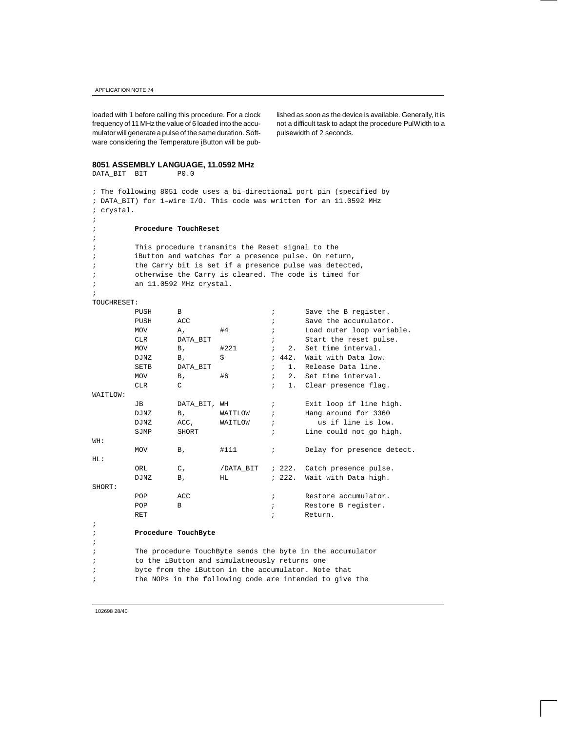loaded with 1 before calling this procedure. For a clock frequency of 11 MHz the value of 6 loaded into the accumulator will generate a pulse of the same duration. Software considering the Temperature iButton will be pub-

lished as soon as the device is available. Generally, it is not a difficult task to adapt the procedure PulWidth to a pulsewidth of 2 seconds.

## **8051 ASSEMBLY LANGUAGE, 11.0592 MHz**

```
DATA_BIT BIT P0.0
; The following 8051 code uses a bi–directional port pin (specified by
; DATA_BIT) for 1–wire I/O. This code was written for an 11.0592 MHz
; crystal.
;
; Procedure TouchReset
;
; This procedure transmits the Reset signal to the 
; iButton and watches for a presence pulse. On return,
       the Carry bit is set if a presence pulse was detected,
; otherwise the Carry is cleared. The code is timed for
; an 11.0592 MHz crystal.
;
TOUCHRESET:
       PUSH B : Save the B register.
       PUSH ACC \qquad \qquad ; \qquad \qquad Save the accumulator.
       MOV A, #4 ; Load outer loop variable.
       CLR DATA BIT \qquad ; Start the reset pulse.
       MOV B, \#221 ; 2. Set time interval.
       DJNZ B, \qquad \S ; 442. Wait with Data low.
       SETB DATA_BIT \qquad \qquad ; \quad 1. Release Data line.
       MOV B, #6 ; 2. Set time interval.
       CLR C can contain the clear presence flag.
WAITLOW:
       JB DATA_BIT, WH ; Exit loop if line high.
       DJNZ B, WAITLOW ; Hang around for 3360
       DJNZ ACC, WAITLOW ; us if line is low.
       SJMP SHORT ; Line could not go high.
WH:
       MOV B, #111 ; Delay for presence detect.
HL:
        ORL C, /DATA_BIT ; 222. Catch presence pulse.
       DJNZ B, HL : 222. Wait with Data high.
SHORT:
       POP ACC \qquad \qquad ; \qquad \qquad Restore accumulator.
       POP B : Restore B register.
       RET \qquad \qquad ; \qquad \qquad Return.
;
; Procedure TouchByte
;
; The procedure TouchByte sends the byte in the accumulator
; to the iButton and simulatneously returns one 
; byte from the iButton in the accumulator. Note that
; the NOPs in the following code are intended to give the
```
102698 28/40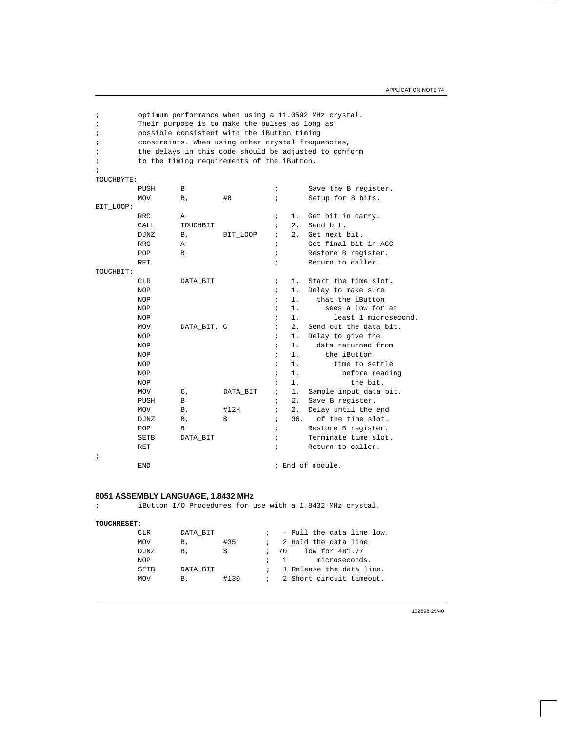; optimum performance when using a 11.0592 MHz crystal. ; Their purpose is to make the pulses as long as ; possible consistent with the iButton timing ; constraints. When using other crystal frequencies, ; the delays in this code should be adjusted to conform ; to the timing requirements of the iButton. ; TOUCHBYTE: PUSH B : B ; Save the B reqister. MOV B,  $#8$  ; Setup for 8 bits. BIT\_LOOP: RRC A  $\qquad$  A  $\qquad$   $\qquad$  A  $\qquad$  A  $\qquad$  A  $\qquad$  A  $\qquad$  A  $\qquad$  A  $\qquad$  A  $\qquad$  A  $\qquad$  A  $\qquad$  A  $\qquad$  A  $\qquad$  A  $\qquad$  A  $\qquad$  A  $\qquad$  A  $\qquad$  A  $\qquad$  A  $\qquad$  A  $\qquad$  A  $\qquad$  A  $\qquad$  A  $\qquad$  A  $\qquad$  A  $\qquad$  A  $\qquad$  A  $\$ CALL TOUCHBIT  $\qquad$  ; 2. Send bit. DJNZ B, BIT\_LOOP ; 2. Get next bit. RRC A ; Get final bit in ACC. POP B B  $\qquad \qquad ; \qquad \qquad$  Restore B register. RET  $\qquad \qquad ; \qquad \qquad$  Return to caller. TOUCHBIT: CLR DATA\_BIT  $\qquad \qquad ; \quad 1.$  Start the time slot. NOP  $\qquad \qquad ; \qquad 1.$  Delay to make sure NOP  $\qquad \qquad ; \qquad 1.$  that the iButton NOP  $\qquad \qquad ; \quad 1.$  sees a low for at NOP  $\qquad \qquad ; \qquad 1. \qquad \qquad$  least 1 microsecond. MOV DATA\_BIT, C  $\qquad$  ; 2. Send out the data bit. NOP  $\qquad \qquad ; \qquad 1.$  Delay to give the NOP  $\qquad \qquad ; \qquad 1. \qquad$  data returned from NOP  $\qquad \qquad ; \qquad 1.$  the iButton NOP  $\qquad \qquad ; \qquad 1.$  time to settle NOP  $\qquad \qquad ; \quad 1.$  before reading NOP  $\qquad \qquad ; \quad 1.$  the bit. MOV C, DATA\_BIT ; 1. Sample input data bit. PUSH B  $\qquad$  B  $\qquad$  B  $\qquad$  B  $\qquad$  B  $\qquad$  B  $\qquad$  B  $\qquad$  B  $\qquad$  B  $\qquad$  B  $\qquad$  B  $\qquad$  B  $\qquad$  B  $\qquad$  B  $\qquad$  B  $\qquad$  B  $\qquad$  B  $\qquad$  B  $\qquad$  B  $\qquad$  B  $\qquad$  B  $\qquad$  B  $\qquad$  B  $\qquad$  B  $\qquad$  B  $\qquad$  B  $\qquad$  B  $\qquad$  B MOV B, #12H ; 2. Delay until the end DJNZ  $B$ ,  $\frac{1}{2}$   $\frac{1}{2}$   $\frac{1}{2}$   $\frac{1}{2}$   $\frac{1}{2}$   $\frac{1}{2}$   $\frac{1}{2}$   $\frac{1}{2}$   $\frac{1}{2}$   $\frac{1}{2}$   $\frac{1}{2}$   $\frac{1}{2}$   $\frac{1}{2}$   $\frac{1}{2}$   $\frac{1}{2}$   $\frac{1}{2}$   $\frac{1}{2}$   $\frac{1}{2}$   $\frac{1}{2}$   $\frac{1}{2}$   $\frac{1}{2}$  POP B B  $\qquad \qquad ; \qquad \qquad$  Restore B register. SETB DATA\_BIT  $\qquad$  ; Terminate time slot. RET in the caller the caller of the Return to caller. ;  $\qquad \qquad \texttt{END} \qquad \qquad \texttt{Find of module.}$ 

## **8051 ASSEMBLY LANGUAGE, 1.8432 MHz**

; iButton I/O Procedures for use with a 1.8432 MHz crystal.

```
TOUCHRESET:
```

| CLR        | DATA BIT |      |             | $: -$ Pull the data line low. |
|------------|----------|------|-------------|-------------------------------|
| <b>MOV</b> | В.       | #35  |             | ; 2 Hold the data line        |
| DJNZ       | В.       | S    | <i>;</i> 70 | low for 481.77                |
| NOP        |          |      | $\sim$ 1    | microseconds.                 |
| SETB       | DATA BIT |      |             | ; 1 Release the data line.    |
| MOV        | В.       | #130 |             | : 2 Short circuit timeout.    |
|            |          |      |             |                               |

102698 29/40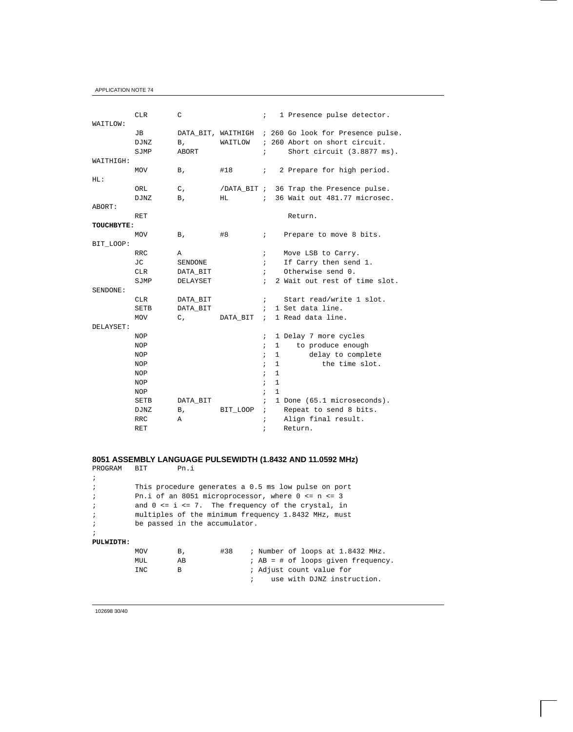| WAITLOW:          | <b>CLR</b>                | C           |                               | $\mathbf{i}$ |              | 1 Presence pulse detector.                                                                       |
|-------------------|---------------------------|-------------|-------------------------------|--------------|--------------|--------------------------------------------------------------------------------------------------|
|                   | JВ<br><b>DJNZ</b><br>SJMP | Β,<br>ABORT | DATA BIT, WAITHIGH<br>WAITLOW | $\ddot{i}$   |              | ; 260 Go look for Presence pulse.<br>; 260 Abort on short circuit.<br>Short circuit (3.8877 ms). |
| WAITHIGH:         |                           |             |                               |              |              |                                                                                                  |
|                   | <b>MOV</b>                | В,          | #18                           | $\ddot{i}$   |              | 2 Prepare for high period.                                                                       |
| HL:               |                           |             |                               |              |              |                                                                                                  |
|                   | ORL                       | $C_{I}$     |                               |              |              | /DATA_BIT ; 36 Trap the Presence pulse.                                                          |
|                   | <b>DJNZ</b>               | Β,          | HL                            | $\ddot{i}$   |              | 36 Wait out 481.77 microsec.                                                                     |
| ABORT:            |                           |             |                               |              |              |                                                                                                  |
|                   | RET                       |             |                               |              |              | Return.                                                                                          |
| <b>TOUCHBYTE:</b> |                           |             |                               |              |              |                                                                                                  |
|                   | MOV                       | Β,          | #8                            | $\mathbf{i}$ |              | Prepare to move 8 bits.                                                                          |
| BIT LOOP:         |                           |             |                               |              |              |                                                                                                  |
|                   | <b>RRC</b>                | A           |                               | $\ddot{i}$   |              | Move LSB to Carry.                                                                               |
|                   | JС                        | SENDONE     |                               | $\mathbf{r}$ |              | If Carry then send 1.                                                                            |
|                   | <b>CLR</b>                | DATA_BIT    |                               | $\mathbf{i}$ |              | Otherwise send 0.                                                                                |
|                   | SJMP                      | DELAYSET    |                               | $\ddot{ }$   |              | 2 Wait out rest of time slot.                                                                    |
| SENDONE:          |                           |             |                               |              |              |                                                                                                  |
|                   | <b>CLR</b>                | DATA_BIT    |                               | $\ddot{i}$   |              | Start read/write 1 slot.                                                                         |
|                   | <b>SETB</b>               | DATA BIT    |                               | $\ddot{i}$   |              | 1 Set data line.                                                                                 |
|                   | <b>MOV</b>                | $C_{I}$     | DATA BIT                      | $\mathbf{r}$ |              | 1 Read data line.                                                                                |
| DELAYSET:         |                           |             |                               |              |              |                                                                                                  |
|                   | <b>NOP</b>                |             |                               | $\ddot{ }$   |              | 1 Delay 7 more cycles                                                                            |
|                   | <b>NOP</b>                |             |                               | $\ddot{i}$   | $\mathbf{1}$ | to produce enough                                                                                |
|                   | <b>NOP</b>                |             |                               | $\ddot{i}$   | $\mathbf{1}$ | delay to complete                                                                                |
|                   | <b>NOP</b>                |             |                               | $\ddot{i}$   | $\mathbf{1}$ | the time slot.                                                                                   |
|                   | <b>NOP</b>                |             |                               | $\ddot{i}$   | $\mathbf{1}$ |                                                                                                  |
|                   | <b>NOP</b>                |             |                               | $\ddot{i}$   | $\mathbf{1}$ |                                                                                                  |
|                   | <b>NOP</b>                |             |                               | $\ddot{i}$   | $\mathbf{1}$ |                                                                                                  |
|                   | <b>SETB</b>               | DATA_BIT    |                               | $\ddot{i}$   |              | 1 Done (65.1 microseconds).                                                                      |
|                   | DJNZ                      | Β,          | BIT LOOP                      | $\ddot{i}$   |              | Repeat to send 8 bits.                                                                           |
|                   | <b>RRC</b>                | Α           |                               | $\ddot{i}$   |              | Align final result.                                                                              |
|                   | RET                       |             |                               | $\ddot{i}$   |              | Return.                                                                                          |

## **8051 ASSEMBLY LANGUAGE PULSEWIDTH (1.8432 AND 11.0592 MHz)**

| PROGRAM      | BIT        | Pn.i                          |     |  |                                                         |
|--------------|------------|-------------------------------|-----|--|---------------------------------------------------------|
| $\cdot$      |            |                               |     |  |                                                         |
| $\cdot$      |            |                               |     |  | This procedure generates a 0.5 ms low pulse on port     |
| $\cdot$      |            |                               |     |  | Pn.i of an 8051 microprocessor, where $0 \leq n \leq 3$ |
| $\cdot$      |            |                               |     |  | and $0 \le i \le 7$ . The frequency of the crystal, in  |
| $\cdot$      |            |                               |     |  | multiples of the minimum frequency 1.8432 MHz, must     |
| $\ddot{i}$   |            | be passed in the accumulator. |     |  |                                                         |
| $\mathbf{r}$ |            |                               |     |  |                                                         |
| PULWIDTH:    |            |                               |     |  |                                                         |
|              | MOV        | Β,                            | #38 |  | ; Number of loops at 1.8432 MHz.                        |
|              | MUL        | AВ                            |     |  | $;$ AB = # of loops given frequency.                    |
|              | <b>INC</b> | B                             |     |  | ; Adjust count value for                                |
|              |            |                               |     |  | use with DJNZ instruction.                              |
|              |            |                               |     |  |                                                         |
|              |            |                               |     |  |                                                         |

102698 30/40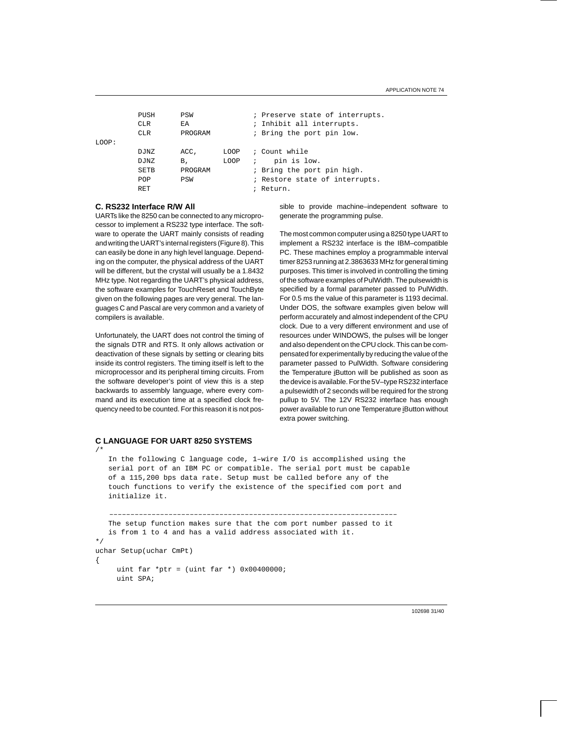PUSH PSW ; Preserve state of interrupts. CLR EA : Inhibit all interrupts. CLR PROGRAM ; Bring the port pin low. LOOP: DJNZ ACC, LOOP ; Count while DJNZ B, LOOP ; pin is low. SETB PROGRAM ; Bring the port pin high. POP PSW ; Restore state of interrupts. RET in the contract of the contract of the Return.

## **C. RS232 Interface R/W All**

UARTs like the 8250 can be connected to any microprocessor to implement a RS232 type interface. The software to operate the UART mainly consists of reading and writing the UART's internal registers (Figure 8). This can easily be done in any high level language. Depending on the computer, the physical address of the UART will be different, but the crystal will usually be a 1.8432 MHz type. Not regarding the UART's physical address, the software examples for TouchReset and TouchByte given on the following pages are very general. The languages C and Pascal are very common and a variety of compilers is available.

Unfortunately, the UART does not control the timing of the signals DTR and RTS. It only allows activation or deactivation of these signals by setting or clearing bits inside its control registers. The timing itself is left to the microprocessor and its peripheral timing circuits. From the software developer's point of view this is a step backwards to assembly language, where every command and its execution time at a specified clock frequency need to be counted. For this reason it is not possible to provide machine–independent software to generate the programming pulse.

The most common computer using a 8250 type UART to implement a RS232 interface is the IBM–compatible PC. These machines employ a programmable interval timer 8253 running at 2.3863633 MHz for general timing purposes. This timer is involved in controlling the timing of the software examples of PulWidth. The pulsewidth is specified by a formal parameter passed to PulWidth. For 0.5 ms the value of this parameter is 1193 decimal. Under DOS, the software examples given below will perform accurately and almost independent of the CPU clock. Due to a very different environment and use of resources under WINDOWS, the pulses will be longer and also dependent on the CPU clock. This can be compensated for experimentally by reducing the value of the parameter passed to PulWidth. Software considering the Temperature iButton will be published as soon as the device is available. For the 5V–type RS232 interface a pulsewidth of 2 seconds will be required for the strong pullup to 5V. The 12V RS232 interface has enough power available to run one Temperature iButton without extra power switching.

## **C LANGUAGE FOR UART 8250 SYSTEMS**

/\*

## In the following C language code, 1–wire I/O is accomplished using the serial port of an IBM PC or compatible. The serial port must be capable of a 115,200 bps data rate. Setup must be called before any of the touch functions to verify the existence of the specified com port and initialize it.

```
 ––––––––––––––––––––––––––––––––––––––––––––––––––––––––––––––––––––
    The setup function makes sure that the com port number passed to it
    is from 1 to 4 and has a valid address associated with it.
*/
uchar Setup(uchar CmPt)
{
     uint far *ptr = (uint far *) 0x004000000;
      uint SPA;
```
102698 31/40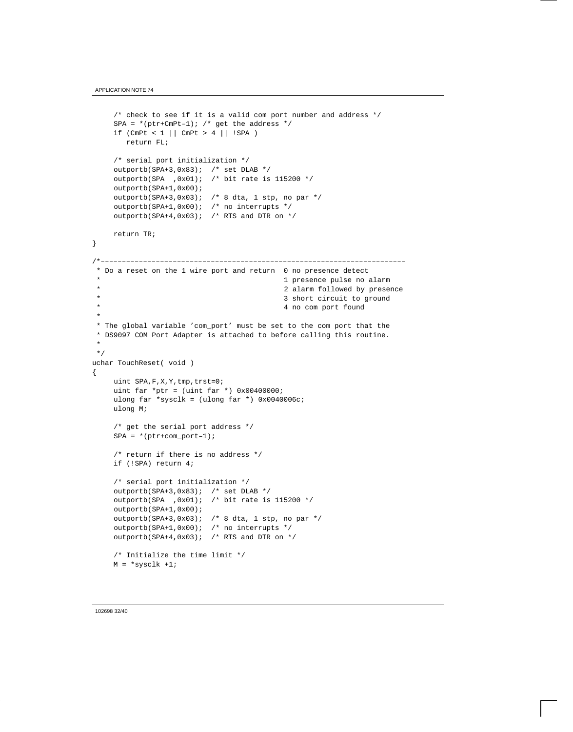```
/* check to see if it is a valid com port number and address */SPA = * (ptr+CmPt-1); /* get the address */
    if (CmPt < 1 || CmPt > 4 || SPA) return FL;
      /* serial port initialization */
    outportb(SPA+3,0x83); /* set DLAB */
    outportb(SPA , 0x01); /* bit rate is 115200 */
     outportb(SPA+1,0x00);
    outportb(SPA+3,0x03); /* 8 dta, 1 stp, no par */
     outportb(SPA+1,0x00); /* no interrupts */
    outportb(SPA+4,0x03); /* RTS and DTR on */
     return TR;
}
/*––––––––––––––––––––––––––––––––––––––––––––––––––––––––––––––––––––––––
 * Do a reset on the 1 wire port and return 0 no presence detect
                                           1 presence pulse no alarm
 * 2 alarm followed by presence
  * 3 short circuit to ground
                                           4 no com port found
 *
 * The global variable 'com_port' must be set to the com port that the
 * DS9097 COM Port Adapter is attached to before calling this routine.
 *
 */
uchar TouchReset( void )
{
     uint SPA,F,X,Y,tmp,trst=0;
    uint far *ptr = (uint far *) 0x00400000;
     ulong far *sysclk = (ulong far *) 0x0040006c;
     ulong M;
     /* get the serial port address */
    SPA = * (ptr+com\_port-1); /* return if there is no address */
     if (!SPA) return 4;
     /* serial port initialization */
     outportb(SPA+3,0x83); /* set DLAB */
     outportb(SPA ,0x01); /* bit rate is 115200 */
     outportb(SPA+1,0x00);
     outportb(SPA+3,0x03); /* 8 dta, 1 stp, no par */
     outportb(SPA+1,0x00); /* no interrupts */
    outportb(SPA+4,0x03); /* RTS and DTR on */ /* Initialize the time limit */
    M = *sysclk +1;
```

```
102698 32/40
```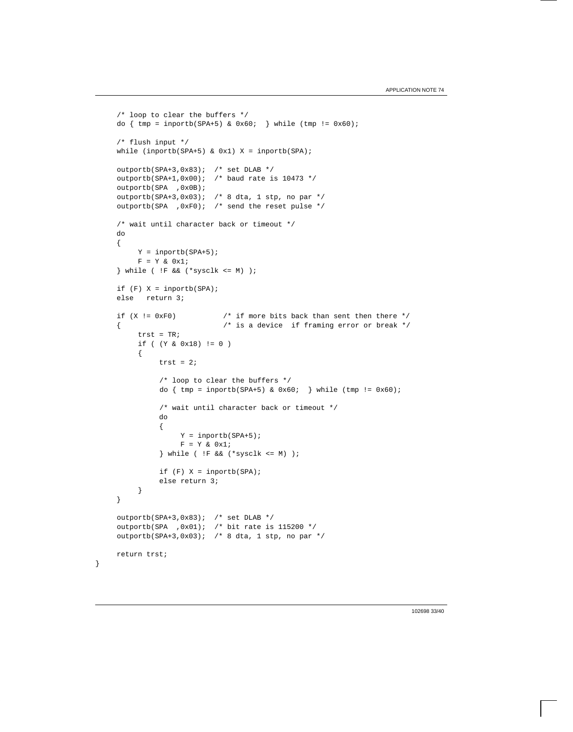```
 /* loop to clear the buffers */
    do \{ \text{tmp = importb(SPA+5) & 0x60; } \} while (\text{tmp != 0x60}); /* flush input */
    while (inportb(SPA+5) & 0x1) X = inportb(SPA);
     outportb(SPA+3,0x83); /* set DLAB */
    outportb(SPA+1,0x00); /* baud rate is 10473 */
     outportb(SPA ,0x0B);
    outportb(SPA+3,0x03); /* 8 dta, 1 stp, no par */
     outportb(SPA ,0xF0); /* send the reset pulse */
     /* wait until character back or timeout */
     do
     {
          Y = inportb(SPA+5);
         F = Y & 0x1; } while ( !F && (*sysclk <= M) );
    if (F) X = inportb(SPA);
     else return 3;
    if (X != 0xF0) /* if more bits back than sent then there */
     { /* is a device if framing error or break */
         trst = TRi if ( (Y & 0x18) != 0 )
          {
              trst = 2i /* loop to clear the buffers */
              do \{ \text{tmp = importb(SPA+5) & 0x60; } \} while (\text{tmp != 0x60)};
               /* wait until character back or timeout */
               do
\{Y = importb(SPA+5);F = Y & 0x1; } while ( !F && (*sysclk <= M) );
              if (F) X = inportb(SPA);
               else return 3;
          }
     }
 outportb(SPA+3,0x83); /* set DLAB */
 outportb(SPA ,0x01); /* bit rate is 115200 */
 outportb(SPA+3,0x03); /* 8 dta, 1 stp, no par */
     return trst;
```
}

102698 33/40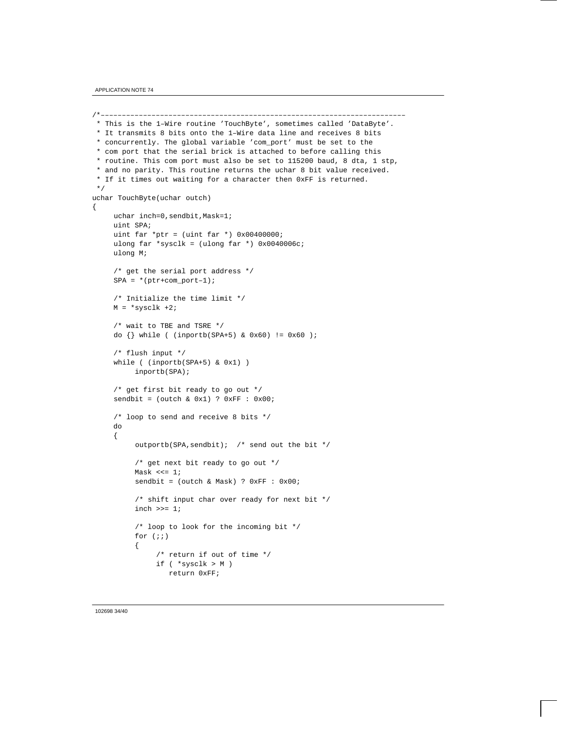```
/*––––––––––––––––––––––––––––––––––––––––––––––––––––––––––––––––––––––––
 * This is the 1–Wire routine 'TouchByte', sometimes called 'DataByte'.
 * It transmits 8 bits onto the 1–Wire data line and receives 8 bits
 * concurrently. The global variable 'com_port' must be set to the
  * com port that the serial brick is attached to before calling this
 * routine. This com port must also be set to 115200 baud, 8 dta, 1 stp,
 * and no parity. This routine returns the uchar 8 bit value received.
 * If it times out waiting for a character then 0xFF is returned.
 */
uchar TouchByte(uchar outch)
{
     uchar inch=0, sendbit, Mask=1;
      uint SPA;
     uint far *ptr = (uint far *) 0x004000000;
     ulong far *sysclk = (ulong far *) 0x0040006c;
      ulong M;
      /* get the serial port address */
     SPA = * (ptr+com\_port-1); /* Initialize the time limit */
     M = *sysclk +2; /* wait to TBE and TSRE */
      do {} while ( (inportb(SPA+5) & 0x60) != 0x60 );
      /* flush input */
      while ( (inportb(SPA+5) & 0x1) )
           inportb(SPA);
      /* get first bit ready to go out */
      sendbit = (outch & 0x1) ? 0xFF : 0x00;
      /* loop to send and receive 8 bits */
      do
      {
           outportb(SPA,sendbit); /* send out the bit */
           /* get next bit ready to go out */
          Mask \lt\lt= 1;
          sendbit = (out & Mask) ? 0xFF : 0x00;
           /* shift input char over ready for next bit */
          inch \n > = 1;
           /* loop to look for the incoming bit */
          for (i; j) {
                /* return if out of time */
                if ( *sysclk > M )
                   return 0xFF;
```
#### 102698 34/40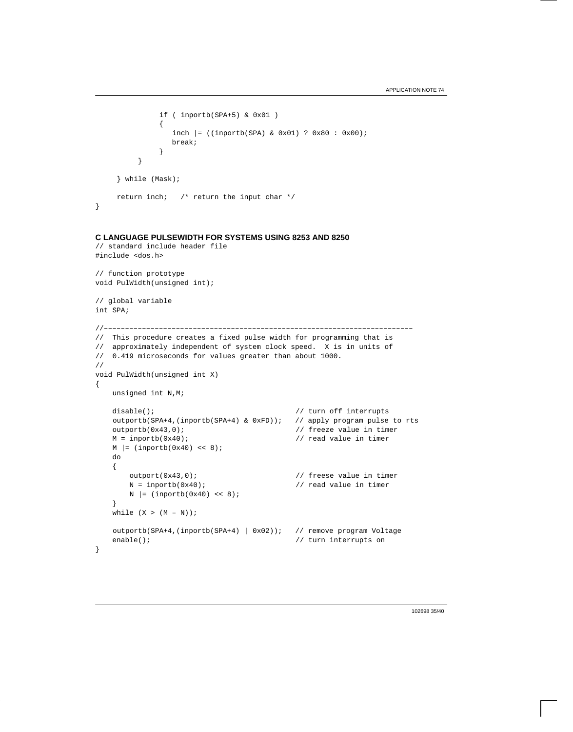```
 if ( inportb(SPA+5) & 0x01 )
{
                inch |= ((inportb(SPA) & 0x01) ? 0x80 : 0x00);
                break;
 }
         }
     } while (Mask);
     return inch; /* return the input char */
}
```
## **C LANGUAGE PULSEWIDTH FOR SYSTEMS USING 8253 AND 8250**

```
// standard include header file
#include <dos.h>
// function prototype
void PulWidth(unsigned int);
// global variable
int SPA;
//–––––––––––––––––––––––––––––––––––––––––––––––––––––––––––––––––––––––––
// This procedure creates a fixed pulse width for programming that is
// approximately independent of system clock speed. X is in units of
// 0.419 microseconds for values greater than about 1000.
//
void PulWidth(unsigned int X)
{
    unsigned int N,M;
   disable(); \sqrt{2} // turn off interrupts
    outportb(SPA+4,(inportb(SPA+4) & 0xFD)); // apply program pulse to rts
    outportb(0x43,0); // freeze value in timer
    M = inportb(0x40); // read value in timer
   M = (inportb(0x40) << 8);
    do
     {
        outport(0x43,0); // freese value in timer
       N = inportb(0x40); \frac{1}{2} // read value in timer
       N = (inportb(0x40) << 8); }
   while (X > (M - N));
    outportb(SPA+4,(inportb(SPA+4) | 0x02)); // remove program Voltage
   enable(); \sqrt{2} // turn interrupts on
}
```
102698 35/40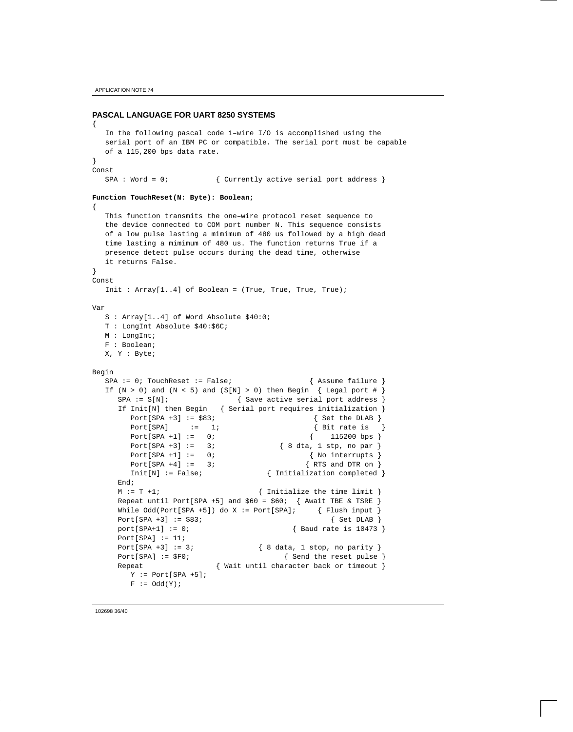## **PASCAL LANGUAGE FOR UART 8250 SYSTEMS**

```
{
   In the following pascal code 1–wire I/O is accomplished using the
   serial port of an IBM PC or compatible. The serial port must be capable
   of a 115,200 bps data rate.
}
Const
  SPA : Word = 0; \{ Currently active serial port address }
Function TouchReset(N: Byte): Boolean;
{
   This function transmits the one–wire protocol reset sequence to
   the device connected to COM port number N. This sequence consists
   of a low pulse lasting a mimimum of 480 us followed by a high dead
   time lasting a mimimum of 480 us. The function returns True if a
   presence detect pulse occurs during the dead time, otherwise
   it returns False.
}
Const
   Init : Array[1..4] of Boolean = (True, True, True, True);
Var
   S : Array[1..4] of Word Absolute $40:0;
   T : LongInt Absolute $40:$6C;
   M : LongInt;
   F : Boolean;
   X, Y : Byte;
Begin
  SPA := 0; TouchReset := False; \{ Assume failure \}If (N > 0) and (N < 5) and (S[N] > 0) then Begin { Legal port # }
     SPA := S[N]; { Save active serial port address }
      If Init[N] then Begin { Serial port requires initialization }
        Port[SPA +3] := $83; { Set the DLAB }
       Port[SPA] := 1; \{ Bit rate is \} Port[SPA +1] := 0; { 115200 bps }
       Port[SPA +3] := 3; \{ 8 \text{ dta}, 1 \text{ stp}, \text{ no par } \}Port[SPA +1] := 0; \{ No\text{ intervals } \}Port[SPA +4] := 3; \{RTS \text{ and DTR on } \}Init[N] := False; { Initialization completed }
      End;
     M := T + 1;<br>M := T + 1;<br>M := T + 1;Repeat until Port[SPA +5] and $60 = $60; { Await TBE & TSRE }
     While Odd(Port[SPA +5]) do X := Port[SPA]; { Flush input }
     Port[SPA +3] := $83; \{ Set DLAB \} port[SPA+1] := 0; { Baud rate is 10473 }
     Port[SPA] := 11;Port[SPA +3] := 3; \{ 8 \text{ data}, 1 \text{ stop}, \text{ no parity} \}Port[SPA] := $F0; \{ Send the reset pulse \}Repeat { Wait until character back or timeout }
       Y := Port[SPA +5];F := \text{Odd}(Y);
```
102698 36/40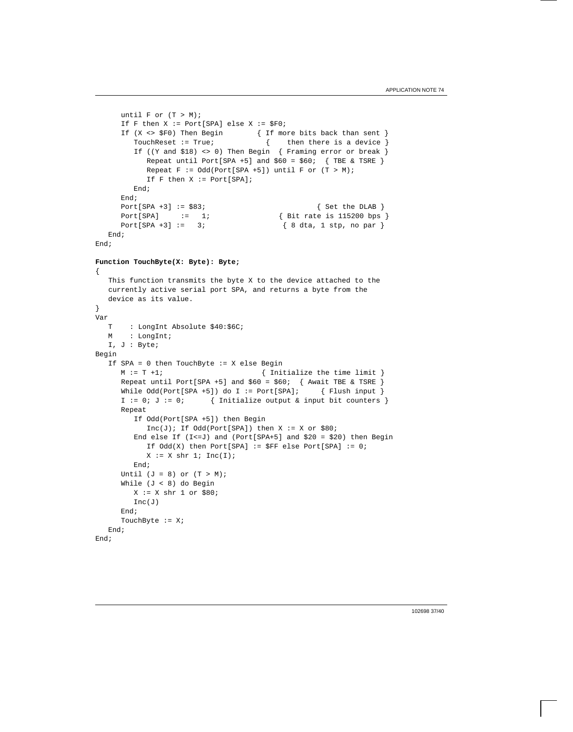```
until F or (T > M);
      If F then X := Port[SPA] else X := \frac{SP}{SP0};
       If (X <> $F0) Then Begin { If more bits back than sent }
        TouchReset := True; \{ then there is a device \}If ((Y and $18) <> 0) Then Begin { Framing error or break }
           Repeat until Port[SPA +5] and $60 = $60; { TBE & TSRE }
           Repeat F := Odd(Port[SPA +5]) until F or (T > M);
            If F then X := Port[SPA];
         End;
       End;
      Port[SPA +3] := $83; \{Set the DLAB\} Port[SPA] := 1; { Bit rate is 115200 bps }
      Port[SPA +3] := 3; \{ 8 \text{ dta, 1 stp, no par } \} End;
End;
Function TouchByte(X: Byte): Byte;
{
    This function transmits the byte X to the device attached to the
    currently active serial port SPA, and returns a byte from the
    device as its value.
}
Var
    T : LongInt Absolute $40:$6C;
    M : LongInt;
   I, J : Byte;
Begin
    If SPA = 0 then TouchByte := X else Begin
      M := T + 1; { Initialize the time limit }
       Repeat until Port[SPA +5] and $60 = $60; { Await TBE & TSRE }
      While Odd(Port[SPA +5]) do I := Port[SPA]; { Flush input }
      I := 0; J := 0; \{ Initialize output & input bit counters \} Repeat
         If Odd(Port[SPA +5]) then Begin
           Inc(J); If Odd(Port[SPA]) then X := X or $80;
        End else If (I <= J) and (Port[SPA + 5] and $20 = $20) then Begin
            If Odd(X) then Port[SPA] := $FF else Port[SPA] := 0;
           X := X \text{ shr } 1; \text{Inc}(I); End;
      Until (J = 8) or (T > M);
       While (J < 8) do Begin
        X := X \text{ shr } 1 \text{ or } $80; Inc(J)
       End;
      TouchByte := X; End;
End;
```
102698 37/40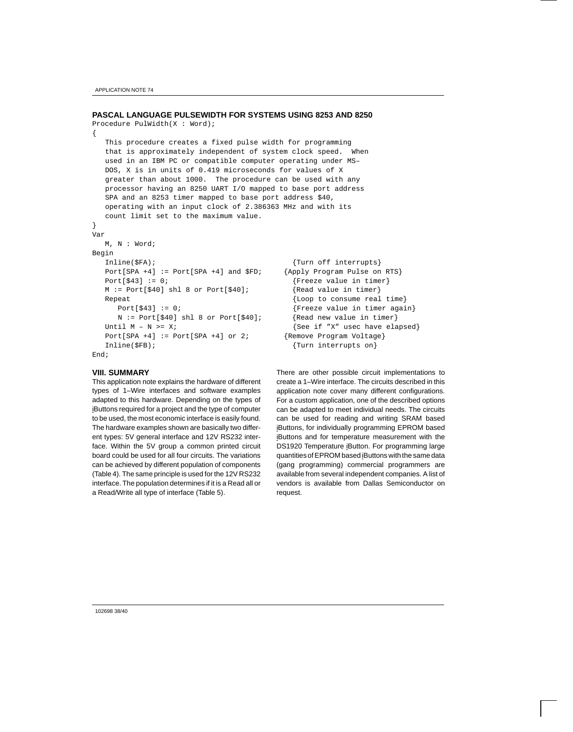APPLICATION NOTE 74

{

}

## **PASCAL LANGUAGE PULSEWIDTH FOR SYSTEMS USING 8253 AND 8250**

```
Procedure PulWidth(X : Word);
```
 This procedure creates a fixed pulse width for programming that is approximately independent of system clock speed. When used in an IBM PC or compatible computer operating under MS– DOS, X is in units of 0.419 microseconds for values of X greater than about 1000. The procedure can be used with any processor having an 8250 UART I/O mapped to base port address SPA and an 8253 timer mapped to base port address \$40, operating with an input clock of 2.386363 MHz and with its count limit set to the maximum value.

```
Var
   M, N : Word;
Begin
  Inline($FA); {True}Port[SPA +4] := Port[SPA +4] and $FD; {Apply Program Pulse on RTS}
  Port[$43] := 0; \{Freeze \ value \ in \ timer\} M := Port[$40] shl 8 or Port[$40]; {Read value in timer}
  Repeat {Loop} to consume real time}
    Port[$43] := 0; {Freeze value in timer again} N := Port[$40] shl 8 or Port[$40]; {Read new value in timer}
  Until M - N \geq X; \{ \text{See if "X" used have elapsed} \}Port[SPA +4] := Port[SPA +4] or 2; {Remove Program Voltage}
  Inline($FB); \{Turn\ interest\ on\}End;
```
### **VIII. SUMMARY**

This application note explains the hardware of different types of 1–Wire interfaces and software examples adapted to this hardware. Depending on the types of iButtons required for a project and the type of computer to be used, the most economic interface is easily found. The hardware examples shown are basically two different types: 5V general interface and 12V RS232 interface. Within the 5V group a common printed circuit board could be used for all four circuits. The variations can be achieved by different population of components (Table 4). The same principle is used for the 12V RS232 interface. The population determines if it is a Read all or a Read/Write all type of interface (Table 5).

There are other possible circuit implementations to create a 1–Wire interface. The circuits described in this application note cover many different configurations. For a custom application, one of the described options can be adapted to meet individual needs. The circuits can be used for reading and writing SRAM based iButtons, for individually programming EPROM based iButtons and for temperature measurement with the DS1920 Temperature iButton. For programming large quantities of EPROM based iButtons with the same data (gang programming) commercial programmers are available from several independent companies. A list of vendors is available from Dallas Semiconductor on request.

102698 38/40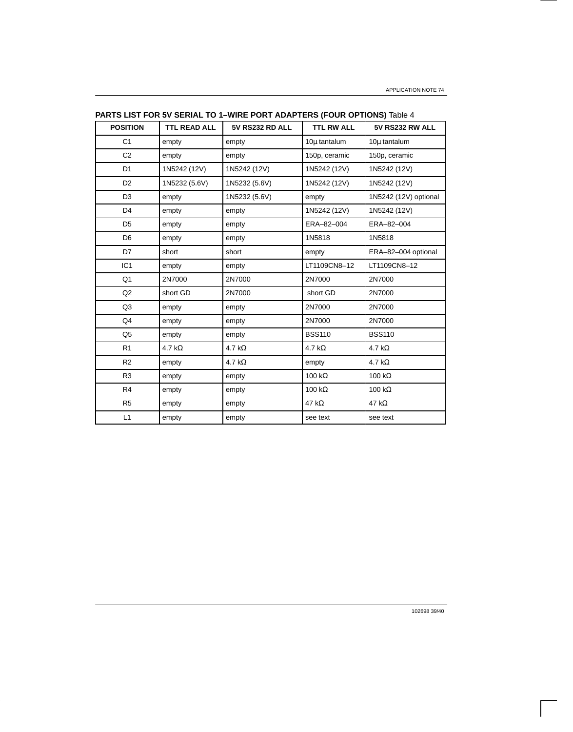| <b>POSITION</b> | <b>TTL READ ALL</b> | <b>5V RS232 RD ALL</b> | <b>TTL RW ALL</b> | <b>5V RS232 RW ALL</b> |
|-----------------|---------------------|------------------------|-------------------|------------------------|
| C <sub>1</sub>  | empty               | empty                  | 10µ tantalum      | 10µ tantalum           |
| C <sub>2</sub>  | empty               | empty                  | 150p, ceramic     | 150p, ceramic          |
| D <sub>1</sub>  | 1N5242 (12V)        | 1N5242 (12V)           | 1N5242 (12V)      | 1N5242 (12V)           |
| D <sub>2</sub>  | 1N5232 (5.6V)       | 1N5232 (5.6V)          | 1N5242 (12V)      | 1N5242 (12V)           |
| D <sub>3</sub>  | empty               | 1N5232 (5.6V)          | empty             | 1N5242 (12V) optional  |
| D4              | empty               | empty                  | 1N5242 (12V)      | 1N5242 (12V)           |
| D <sub>5</sub>  | empty               | empty                  | ERA-82-004        | ERA-82-004             |
| D <sub>6</sub>  | empty               | empty                  | 1N5818            | 1N5818                 |
| D7              | short               | short                  | empty             | ERA-82-004 optional    |
| IC <sub>1</sub> | empty               | empty                  | LT1109CN8-12      | LT1109CN8-12           |
| Q <sub>1</sub>  | 2N7000              | 2N7000                 | 2N7000            | 2N7000                 |
| Q <sub>2</sub>  | short GD            | 2N7000                 | short GD          | 2N7000                 |
| Q3              | empty               | empty                  | 2N7000            | 2N7000                 |
| Q4              | empty               | empty                  | 2N7000            | 2N7000                 |
| Q <sub>5</sub>  | empty               | empty                  | <b>BSS110</b>     | <b>BSS110</b>          |
| R <sub>1</sub>  | 4.7 k $\Omega$      | 4.7 k $\Omega$         | 4.7 k $\Omega$    | 4.7 k $\Omega$         |
| R <sub>2</sub>  | empty               | 4.7 k $\Omega$         | empty             | 4.7 k $\Omega$         |
| R <sub>3</sub>  | empty               | empty                  | 100 k $\Omega$    | 100 k $\Omega$         |
| R4              | empty               | empty                  | 100 k $\Omega$    | 100 $k\Omega$          |
| R <sub>5</sub>  | empty               | empty                  | 47 k $\Omega$     | 47 k $\Omega$          |
| L1              | empty               | empty                  | see text          | see text               |

**PARTS LIST FOR 5V SERIAL TO 1–WIRE PORT ADAPTERS (FOUR OPTIONS)** Table 4

102698 39/40